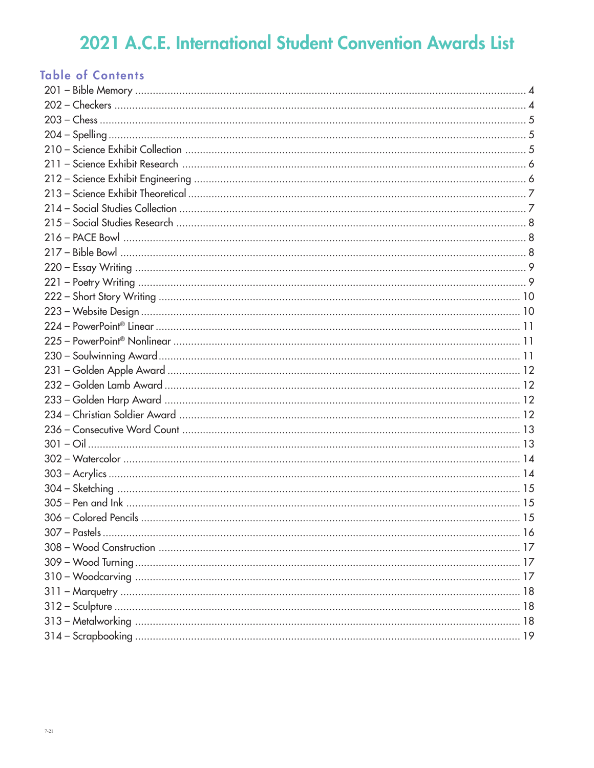|  | <b>Table of Contents</b> |
|--|--------------------------|
|  |                          |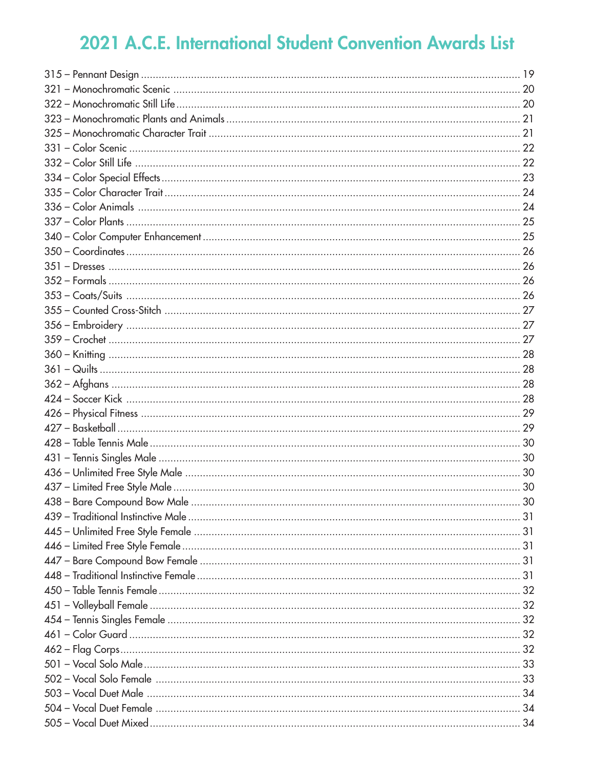| 438 - Bare Compound Bow Male | 30 |
|------------------------------|----|
|                              |    |
|                              |    |
|                              |    |
|                              |    |
|                              |    |
|                              |    |
|                              |    |
|                              |    |
|                              |    |
|                              |    |
|                              |    |
|                              |    |
|                              |    |
|                              |    |
|                              |    |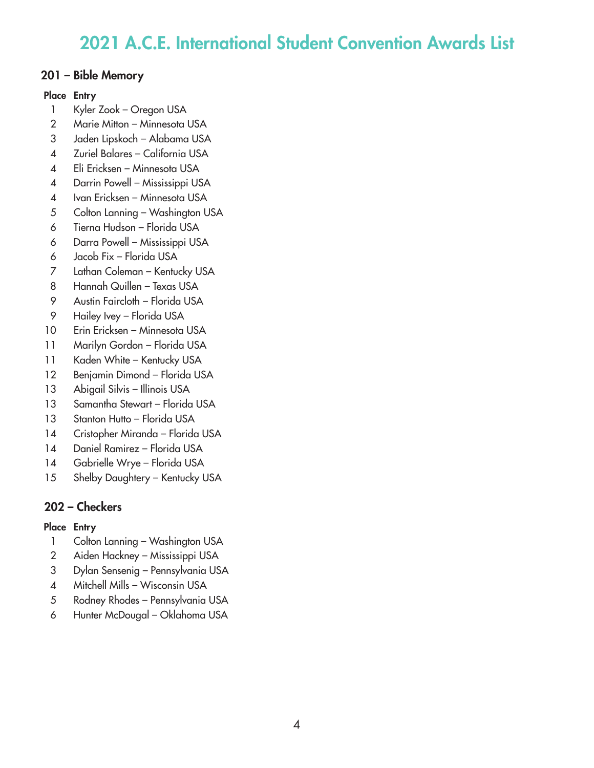## 201 – Bible Memory

### Place Entry

- Kyler Zook Oregon USA
- Marie Mitton Minnesota USA
- Jaden Lipskoch Alabama USA
- Zuriel Balares California USA
- Eli Ericksen Minnesota USA
- Darrin Powell Mississippi USA
- Ivan Ericksen Minnesota USA
- Colton Lanning Washington USA
- Tierna Hudson Florida USA
- Darra Powell Mississippi USA
- Jacob Fix Florida USA
- Lathan Coleman Kentucky USA
- Hannah Quillen Texas USA
- Austin Faircloth Florida USA
- Hailey Ivey Florida USA
- Erin Ericksen Minnesota USA
- Marilyn Gordon Florida USA
- 11 Kaden White Kentucky USA
- Benjamin Dimond Florida USA
- 13 Abigail Silvis Illinois USA
- Samantha Stewart Florida USA
- 13 Stanton Hutto Florida USA
- Cristopher Miranda Florida USA
- Daniel Ramirez Florida USA
- Gabrielle Wrye Florida USA
- 15 Shelby Daughtery Kentucky USA

# 202 – Checkers

- 1 Colton Lanning Washington USA
- Aiden Hackney Mississippi USA
- Dylan Sensenig Pennsylvania USA
- Mitchell Mills Wisconsin USA
- Rodney Rhodes Pennsylvania USA
- Hunter McDougal Oklahoma USA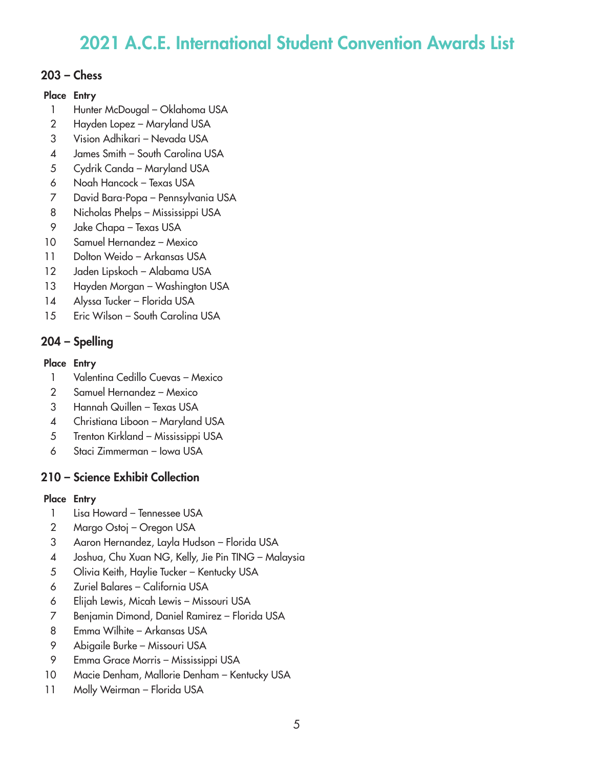### 203 – Chess

### Place Entry

- 1 Hunter McDougal Oklahoma USA
- 2 Hayden Lopez Maryland USA
- 3 Vision Adhikari Nevada USA
- 4 James Smith South Carolina USA
- 5 Cydrik Canda Maryland USA
- 6 Noah Hancock Texas USA
- 7 David Bara-Popa Pennsylvania USA
- 8 Nicholas Phelps Mississippi USA
- 9 Jake Chapa Texas USA
- 10 Samuel Hernandez Mexico
- 11 Dolton Weido Arkansas USA
- 12 Jaden Lipskoch Alabama USA
- 13 Hayden Morgan Washington USA
- 14 Alyssa Tucker Florida USA
- 15 Eric Wilson South Carolina USA

# 204 – Spelling

### Place Entry

- 1 Valentina Cedillo Cuevas Mexico
- 2 Samuel Hernandez Mexico
- 3 Hannah Quillen Texas USA
- 4 Christiana Liboon Maryland USA
- 5 Trenton Kirkland Mississippi USA
- 6 Staci Zimmerman Iowa USA

# 210 – Science Exhibit Collection

- 1 Lisa Howard Tennessee USA
- 2 Margo Ostoj Oregon USA
- 3 Aaron Hernandez, Layla Hudson Florida USA
- 4 Joshua, Chu Xuan NG, Kelly, Jie Pin TING Malaysia
- 5 Olivia Keith, Haylie Tucker Kentucky USA
- 6 Zuriel Balares California USA
- 6 Elijah Lewis, Micah Lewis Missouri USA
- 7 Benjamin Dimond, Daniel Ramirez Florida USA
- 8 Emma Wilhite Arkansas USA
- 9 Abigaile Burke Missouri USA
- 9 Emma Grace Morris Mississippi USA
- 10 Macie Denham, Mallorie Denham Kentucky USA
- 11 Molly Weirman Florida USA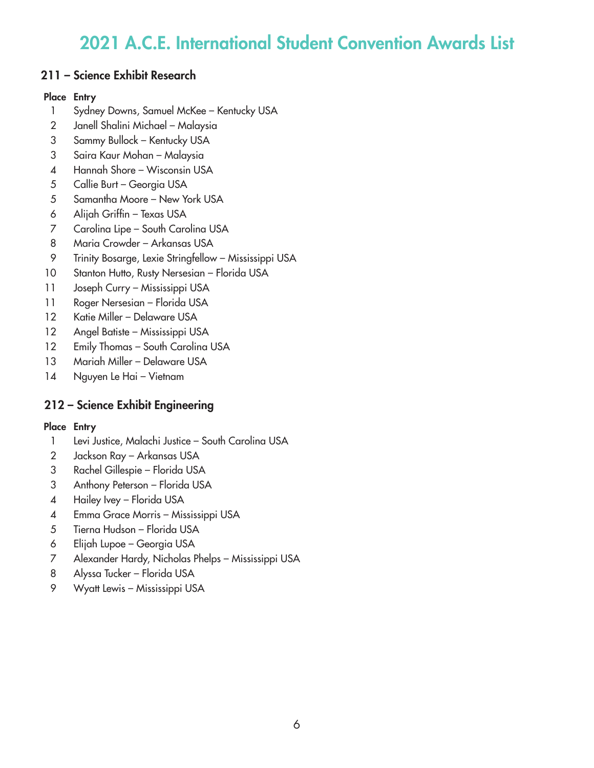## 211 – Science Exhibit Research

### Place Entry

- Sydney Downs, Samuel McKee Kentucky USA
- Janell Shalini Michael Malaysia
- Sammy Bullock Kentucky USA
- 3 Saira Kaur Mohan Malaysia
- Hannah Shore Wisconsin USA
- Callie Burt Georgia USA
- Samantha Moore New York USA
- Alijah Griffin Texas USA
- Carolina Lipe South Carolina USA
- Maria Crowder Arkansas USA
- Trinity Bosarge, Lexie Stringfellow Mississippi USA
- Stanton Hutto, Rusty Nersesian Florida USA
- Joseph Curry Mississippi USA
- Roger Nersesian Florida USA
- Katie Miller Delaware USA
- Angel Batiste Mississippi USA
- 12 Emily Thomas South Carolina USA
- Mariah Miller Delaware USA
- Nguyen Le Hai Vietnam

# 212 – Science Exhibit Engineering

- Levi Justice, Malachi Justice South Carolina USA
- Jackson Ray Arkansas USA
- Rachel Gillespie Florida USA
- Anthony Peterson Florida USA
- Hailey Ivey Florida USA
- Emma Grace Morris Mississippi USA
- Tierna Hudson Florida USA
- Elijah Lupoe Georgia USA
- Alexander Hardy, Nicholas Phelps Mississippi USA
- Alyssa Tucker Florida USA
- Wyatt Lewis Mississippi USA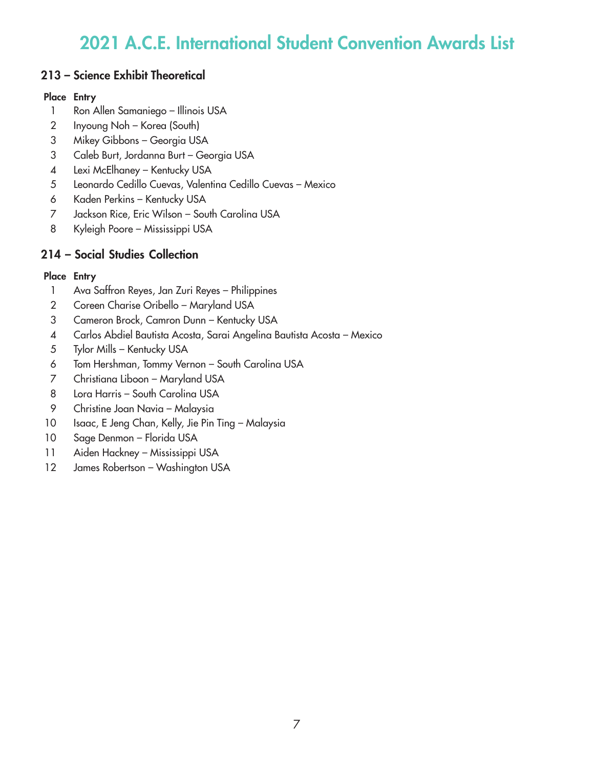## 213 – Science Exhibit Theoretical

### Place Entry

- 1 Ron Allen Samaniego Illinois USA
- Inyoung Noh Korea (South)
- Mikey Gibbons Georgia USA
- Caleb Burt, Jordanna Burt Georgia USA
- Lexi McElhaney Kentucky USA
- Leonardo Cedillo Cuevas, Valentina Cedillo Cuevas Mexico
- Kaden Perkins Kentucky USA
- Jackson Rice, Eric Wilson South Carolina USA
- Kyleigh Poore Mississippi USA

# 214 – Social Studies Collection

- Ava Saffron Reyes, Jan Zuri Reyes Philippines
- Coreen Charise Oribello Maryland USA
- Cameron Brock, Camron Dunn Kentucky USA
- 4 Carlos Abdiel Bautista Acosta, Sarai Angelina Bautista Acosta Mexico
- Tylor Mills Kentucky USA
- Tom Hershman, Tommy Vernon South Carolina USA
- Christiana Liboon Maryland USA
- Lora Harris South Carolina USA
- Christine Joan Navia Malaysia
- 10 Isaac, E Jeng Chan, Kelly, Jie Pin Ting Malaysia
- Sage Denmon Florida USA
- Aiden Hackney Mississippi USA
- 12 James Robertson Washington USA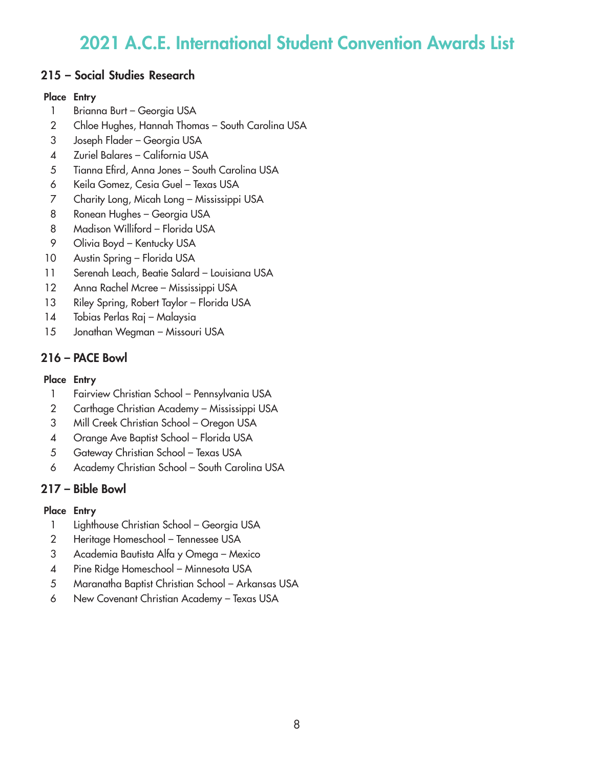## 215 – Social Studies Research

#### Place Entry

- 1 Brianna Burt Georgia USA
- Chloe Hughes, Hannah Thomas South Carolina USA
- Joseph Flader Georgia USA
- 4 Zuriel Balares California USA
- Tianna Efird, Anna Jones South Carolina USA
- Keila Gomez, Cesia Guel Texas USA
- Charity Long, Micah Long Mississippi USA
- Ronean Hughes Georgia USA
- Madison Williford Florida USA
- Olivia Boyd Kentucky USA
- Austin Spring Florida USA
- 11 Serenah Leach, Beatie Salard Louisiana USA
- Anna Rachel Mcree Mississippi USA
- 13 Riley Spring, Robert Taylor Florida USA
- 14 Tobias Perlas Raj Malaysia
- 15 Jonathan Wegman Missouri USA

## 216 – PACE Bowl

### Place Entry

- Fairview Christian School Pennsylvania USA
- Carthage Christian Academy Mississippi USA
- Mill Creek Christian School Oregon USA
- Orange Ave Baptist School Florida USA
- Gateway Christian School Texas USA
- Academy Christian School South Carolina USA

# 217 – Bible Bowl

- Lighthouse Christian School Georgia USA
- Heritage Homeschool Tennessee USA
- Academia Bautista Alfa y Omega Mexico
- 4 Pine Ridge Homeschool Minnesota USA
- Maranatha Baptist Christian School Arkansas USA
- New Covenant Christian Academy Texas USA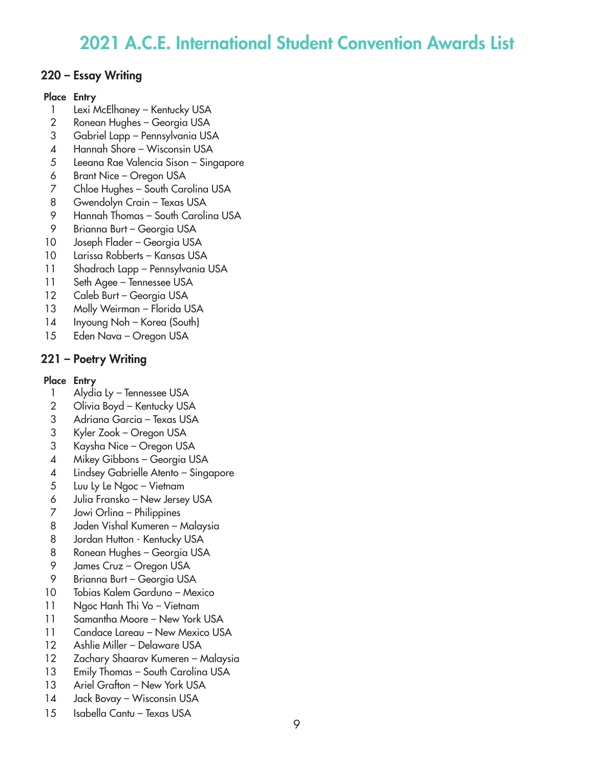## 220 – Essay Writing

### Place Entry

- 1 Lexi McElhaney Kentucky USA
- Ronean Hughes Georgia USA
- Gabriel Lapp Pennsylvania USA
- Hannah Shore Wisconsin USA
- Leeana Rae Valencia Sison Singapore
- Brant Nice Oregon USA
- Chloe Hughes South Carolina USA
- Gwendolyn Crain Texas USA
- Hannah Thomas South Carolina USA
- Brianna Burt Georgia USA
- Joseph Flader Georgia USA
- Larissa Robberts Kansas USA
- Shadrach Lapp Pennsylvania USA
- Seth Agee Tennessee USA
- 12 Caleb Burt Georgia USA
- Molly Weirman Florida USA
- Inyoung Noh Korea (South)
- Eden Nava Oregon USA

# 221 – Poetry Writing

- 1 Alydia Ly Tennessee USA
- Olivia Boyd Kentucky USA
- Adriana Garcia Texas USA
- Kyler Zook Oregon USA
- Kaysha Nice Oregon USA
- Mikey Gibbons Georgia USA
- Lindsey Gabrielle Atento Singapore
- Luu Ly Le Ngoc Vietnam
- Julia Fransko New Jersey USA
- Jowi Orlina Philippines
- Jaden Vishal Kumeren Malaysia
- 8 Jordan Hutton Kentucky USA
- Ronean Hughes Georgia USA
- James Cruz Oregon USA
- Brianna Burt Georgia USA
- Tobias Kalem Garduno Mexico
- Ngoc Hanh Thi Vo Vietnam
- 11 Samantha Moore New York USA
- Candace Lareau New Mexico USA
- Ashlie Miller Delaware USA
- Zachary Shaarav Kumeren Malaysia
- 13 Emily Thomas South Carolina USA
- 13 Ariel Grafton New York USA
- Jack Bovay Wisconsin USA
- Isabella Cantu Texas USA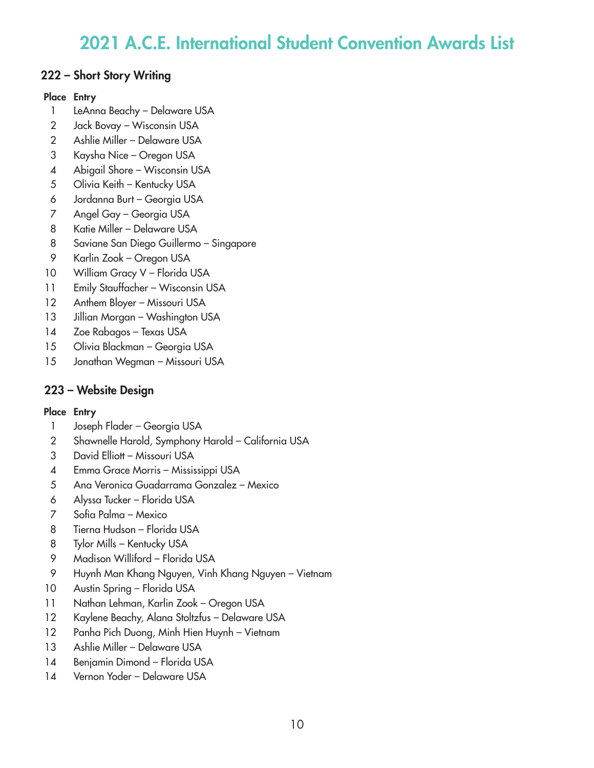## 222 – Short Story Writing

#### Place Entry

- LeAnna Beachy Delaware USA
- Jack Bovay Wisconsin USA
- Ashlie Miller Delaware USA
- Kaysha Nice Oregon USA
- Abigail Shore Wisconsin USA
- 5 Olivia Keith Kentucky USA
- Jordanna Burt Georgia USA
- Angel Gay Georgia USA
- Katie Miller Delaware USA
- Saviane San Diego Guillermo Singapore
- Karlin Zook Oregon USA
- 10 William Gracy V Florida USA
- Emily Stauffacher Wisconsin USA
- 12 Anthem Bloyer Missouri USA
- 13 Jillian Morgan Washington USA
- Zoe Rabagos Texas USA
- Olivia Blackman Georgia USA
- Jonathan Wegman Missouri USA

## 223 – Website Design

- Joseph Flader Georgia USA
- Shawnelle Harold, Symphony Harold California USA
- David Elliott Missouri USA
- 4 Emma Grace Morris Mississippi USA
- Ana Veronica Guadarrama Gonzalez Mexico
- Alyssa Tucker Florida USA
- Sofia Palma Mexico
- Tierna Hudson Florida USA
- Tylor Mills Kentucky USA
- Madison Williford Florida USA
- Huynh Man Khang Nguyen, Vinh Khang Nguyen Vietnam
- Austin Spring Florida USA
- Nathan Lehman, Karlin Zook Oregon USA
- Kaylene Beachy, Alana Stoltzfus Delaware USA
- Panha Pich Duong, Minh Hien Huynh Vietnam
- Ashlie Miller Delaware USA
- Benjamin Dimond Florida USA
- Vernon Yoder Delaware USA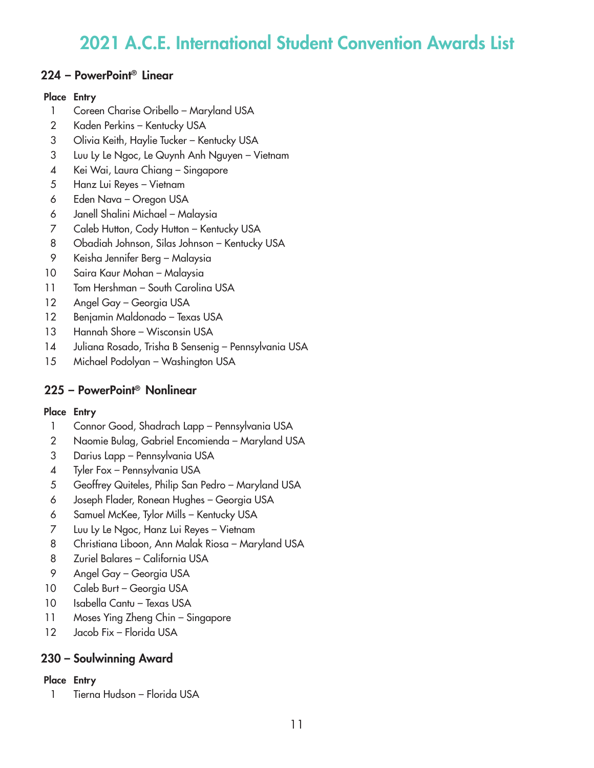## 224 – PowerPoint® Linear

#### Place Entry

- Coreen Charise Oribello Maryland USA
- Kaden Perkins Kentucky USA
- Olivia Keith, Haylie Tucker Kentucky USA
- Luu Ly Le Ngoc, Le Quynh Anh Nguyen Vietnam
- 4 Kei Wai, Laura Chiang Singapore
- Hanz Lui Reyes Vietnam
- Eden Nava Oregon USA
- Janell Shalini Michael Malaysia
- Caleb Hutton, Cody Hutton Kentucky USA
- Obadiah Johnson, Silas Johnson Kentucky USA
- Keisha Jennifer Berg Malaysia
- Saira Kaur Mohan Malaysia
- 11 Tom Hershman South Carolina USA
- Angel Gay Georgia USA
- Benjamin Maldonado Texas USA
- 13 Hannah Shore Wisconsin USA
- 14 Juliana Rosado, Trisha B Sensenig Pennsylvania USA
- Michael Podolyan Washington USA

# 225 – PowerPoint® Nonlinear

### Place Entry

- Connor Good, Shadrach Lapp Pennsylvania USA
- Naomie Bulag, Gabriel Encomienda Maryland USA
- Darius Lapp Pennsylvania USA
- Tyler Fox Pennsylvania USA
- Geoffrey Quiteles, Philip San Pedro Maryland USA
- Joseph Flader, Ronean Hughes Georgia USA
- Samuel McKee, Tylor Mills Kentucky USA
- Luu Ly Le Ngoc, Hanz Lui Reyes Vietnam
- Christiana Liboon, Ann Malak Riosa Maryland USA
- Zuriel Balares California USA
- Angel Gay Georgia USA
- 10 Caleb Burt Georgia USA
- 10 Isabella Cantu Texas USA
- Moses Ying Zheng Chin Singapore
- 12 Jacob Fix Florida USA

## 230 – Soulwinning Award

### Place Entry

Tierna Hudson – Florida USA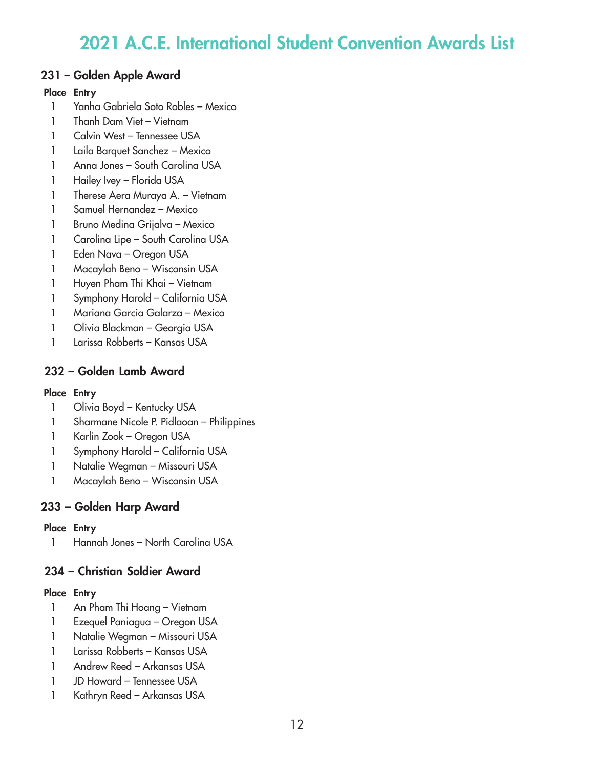## 231 – Golden Apple Award

### Place Entry

- Yanha Gabriela Soto Robles Mexico
- Thanh Dam Viet Vietnam
- 1 Calvin West Tennessee USA
- Laila Barquet Sanchez Mexico
- Anna Jones South Carolina USA
- 1 Hailey Ivey Florida USA
- Therese Aera Muraya A. Vietnam
- Samuel Hernandez Mexico
- Bruno Medina Grijalva Mexico
- 1 Carolina Lipe South Carolina USA
- Eden Nava Oregon USA
- Macaylah Beno Wisconsin USA
- Huyen Pham Thi Khai Vietnam
- Symphony Harold California USA
- Mariana Garcia Galarza Mexico
- 1 Olivia Blackman Georgia USA
- Larissa Robberts Kansas USA

# 232 – Golden Lamb Award

### Place Entry

- 1 Olivia Boyd Kentucky USA
- Sharmane Nicole P. Pidlaoan Philippines
- Karlin Zook Oregon USA
- Symphony Harold California USA
- Natalie Wegman Missouri USA
- Macaylah Beno Wisconsin USA

# 233 – Golden Harp Award

### Place Entry

Hannah Jones – North Carolina USA

# 234 – Christian Soldier Award

- An Pham Thi Hoang Vietnam
- Ezequel Paniagua Oregon USA
- Natalie Wegman Missouri USA
- Larissa Robberts Kansas USA
- Andrew Reed Arkansas USA
- JD Howard Tennessee USA
- Kathryn Reed Arkansas USA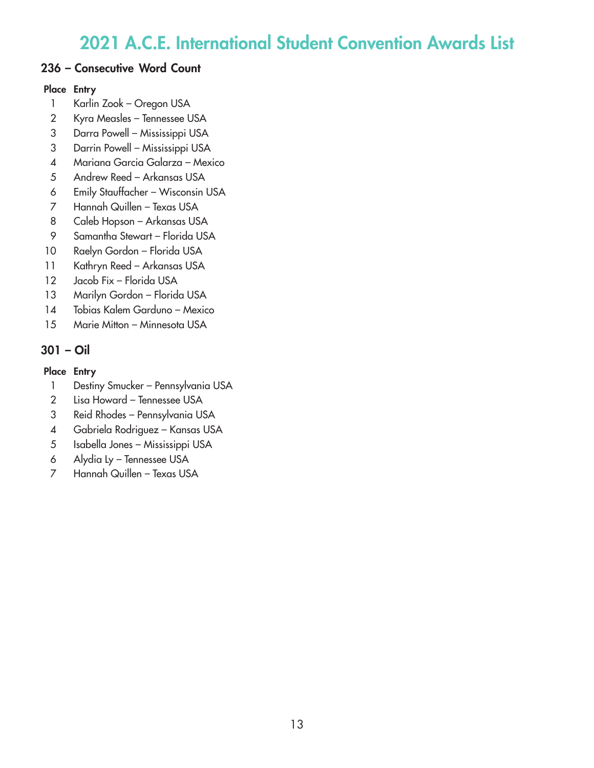## 236 – Consecutive Word Count

### Place Entry

- 1 Karlin Zook Oregon USA
- Kyra Measles Tennessee USA
- Darra Powell Mississippi USA
- Darrin Powell Mississippi USA
- Mariana Garcia Galarza Mexico
- Andrew Reed Arkansas USA
- Emily Stauffacher Wisconsin USA
- Hannah Quillen Texas USA
- Caleb Hopson Arkansas USA
- Samantha Stewart Florida USA
- Raelyn Gordon Florida USA
- Kathryn Reed Arkansas USA
- 12 Jacob Fix Florida USA
- Marilyn Gordon Florida USA
- Tobias Kalem Garduno Mexico
- Marie Mitton Minnesota USA

# 301 – Oil

- 1 Destiny Smucker Pennsylvania USA
- Lisa Howard Tennessee USA
- Reid Rhodes Pennsylvania USA
- Gabriela Rodriguez Kansas USA
- Isabella Jones Mississippi USA
- Alydia Ly Tennessee USA
- Hannah Quillen Texas USA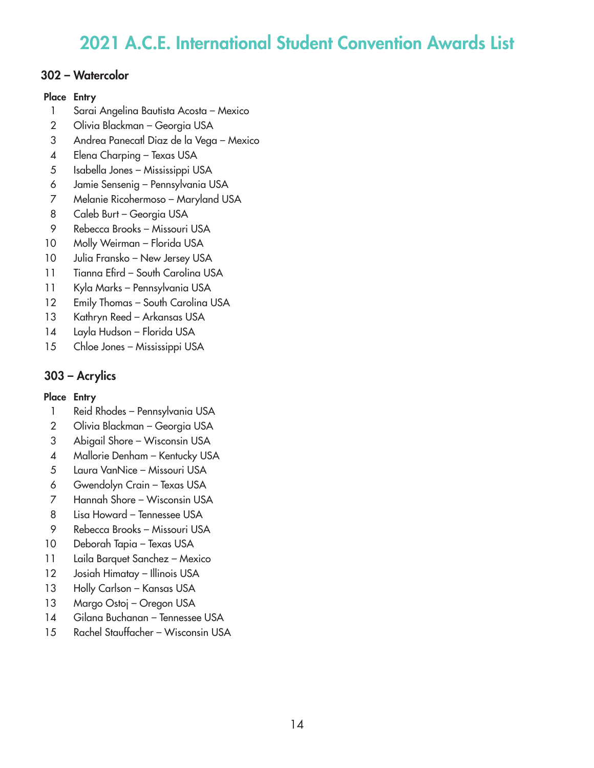## 302 – Watercolor

#### Place Entry

- Sarai Angelina Bautista Acosta Mexico
- Olivia Blackman Georgia USA
- Andrea Panecatl Diaz de la Vega Mexico
- Elena Charping Texas USA
- Isabella Jones Mississippi USA
- Jamie Sensenig Pennsylvania USA
- Melanie Ricohermoso Maryland USA
- Caleb Burt Georgia USA
- Rebecca Brooks Missouri USA
- Molly Weirman Florida USA
- 10 Julia Fransko New Jersey USA
- 11 Tianna Efird South Carolina USA
- Kyla Marks Pennsylvania USA
- 12 Emily Thomas South Carolina USA
- Kathryn Reed Arkansas USA
- Layla Hudson Florida USA
- Chloe Jones Mississippi USA

## 303 – Acrylics

- Reid Rhodes Pennsylvania USA
- Olivia Blackman Georgia USA
- Abigail Shore Wisconsin USA
- Mallorie Denham Kentucky USA
- Laura VanNice Missouri USA
- Gwendolyn Crain Texas USA
- Hannah Shore Wisconsin USA
- Lisa Howard Tennessee USA
- Rebecca Brooks Missouri USA
- Deborah Tapia Texas USA
- Laila Barquet Sanchez Mexico
- Josiah Himatay Illinois USA
- 13 Holly Carlson Kansas USA
- Margo Ostoj Oregon USA
- Gilana Buchanan Tennessee USA
- Rachel Stauffacher Wisconsin USA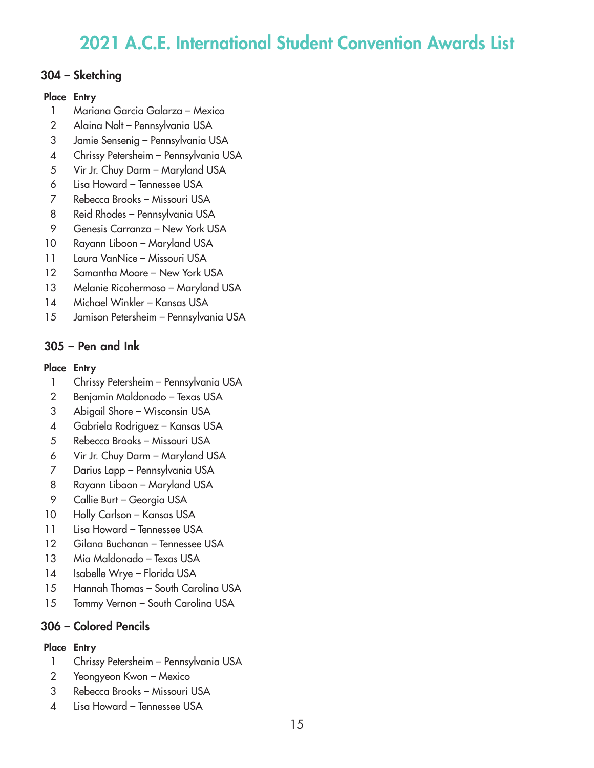### 304 – Sketching

#### Place Entry

- Mariana Garcia Galarza Mexico
- Alaina Nolt Pennsylvania USA
- Jamie Sensenig Pennsylvania USA
- Chrissy Petersheim Pennsylvania USA
- Vir Jr. Chuy Darm Maryland USA
- Lisa Howard Tennessee USA
- Rebecca Brooks Missouri USA
- Reid Rhodes Pennsylvania USA
- Genesis Carranza New York USA
- Rayann Liboon Maryland USA
- 11 Laura VanNice Missouri USA
- 12 Samantha Moore New York USA
- Melanie Ricohermoso Maryland USA
- Michael Winkler Kansas USA
- Jamison Petersheim Pennsylvania USA

# 305 – Pen and Ink

### Place Entry

- Chrissy Petersheim Pennsylvania USA
- Benjamin Maldonado Texas USA
- Abigail Shore Wisconsin USA
- Gabriela Rodriguez Kansas USA
- Rebecca Brooks Missouri USA
- Vir Jr. Chuy Darm Maryland USA
- Darius Lapp Pennsylvania USA
- Rayann Liboon Maryland USA
- Callie Burt Georgia USA
- Holly Carlson Kansas USA
- 11 Lisa Howard Tennessee USA
- Gilana Buchanan Tennessee USA
- Mia Maldonado Texas USA
- Isabelle Wrye Florida USA
- Hannah Thomas South Carolina USA
- 15 Tommy Vernon South Carolina USA

## 306 – Colored Pencils

- Chrissy Petersheim Pennsylvania USA
- Yeongyeon Kwon Mexico
- Rebecca Brooks Missouri USA
- Lisa Howard Tennessee USA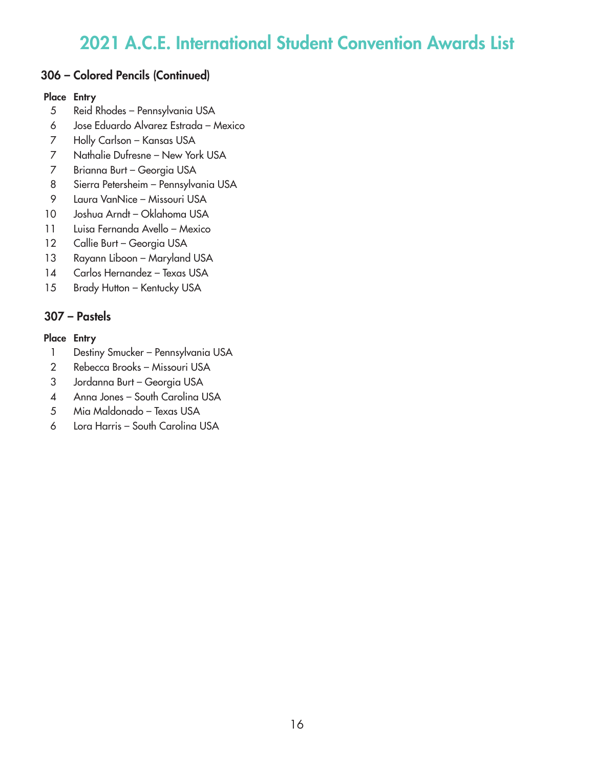## 306 – Colored Pencils (Continued)

### Place Entry

- Reid Rhodes Pennsylvania USA
- Jose Eduardo Alvarez Estrada Mexico
- Holly Carlson Kansas USA
- Nathalie Dufresne New York USA
- Brianna Burt Georgia USA
- Sierra Petersheim Pennsylvania USA
- Laura VanNice Missouri USA
- Joshua Arndt Oklahoma USA
- Luisa Fernanda Avello Mexico
- 12 Callie Burt Georgia USA
- Rayann Liboon Maryland USA
- Carlos Hernandez Texas USA
- 15 Brady Hutton Kentucky USA

# 307 – Pastels

- 1 Destiny Smucker Pennsylvania USA
- Rebecca Brooks Missouri USA
- Jordanna Burt Georgia USA
- Anna Jones South Carolina USA
- Mia Maldonado Texas USA
- Lora Harris South Carolina USA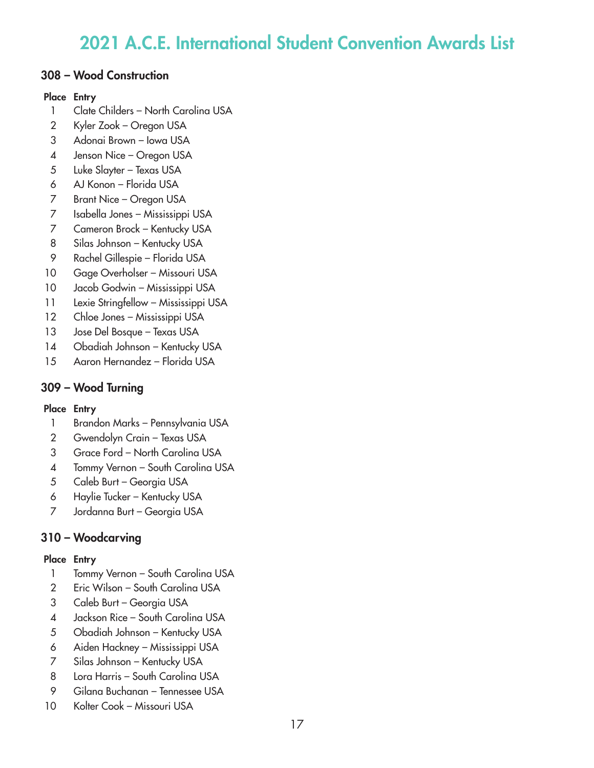## 308 – Wood Construction

### Place Entry

- Clate Childers North Carolina USA
- Kyler Zook Oregon USA
- Adonai Brown Iowa USA
- Jenson Nice Oregon USA
- Luke Slayter Texas USA
- AJ Konon Florida USA
- Brant Nice Oregon USA
- Isabella Jones Mississippi USA
- Cameron Brock Kentucky USA
- Silas Johnson Kentucky USA
- Rachel Gillespie Florida USA
- Gage Overholser Missouri USA
- Jacob Godwin Mississippi USA
- Lexie Stringfellow Mississippi USA
- Chloe Jones Mississippi USA
- Jose Del Bosque Texas USA
- Obadiah Johnson Kentucky USA
- Aaron Hernandez Florida USA

# 309 – Wood Turning

### Place Entry

- Brandon Marks Pennsylvania USA
- Gwendolyn Crain Texas USA
- Grace Ford North Carolina USA
- Tommy Vernon South Carolina USA
- Caleb Burt Georgia USA
- Haylie Tucker Kentucky USA
- Jordanna Burt Georgia USA

# 310 – Woodcarving

- 1 Tommy Vernon South Carolina USA
- Eric Wilson South Carolina USA
- Caleb Burt Georgia USA
- Jackson Rice South Carolina USA
- Obadiah Johnson Kentucky USA
- Aiden Hackney Mississippi USA
- Silas Johnson Kentucky USA
- Lora Harris South Carolina USA
- Gilana Buchanan Tennessee USA
- Kolter Cook Missouri USA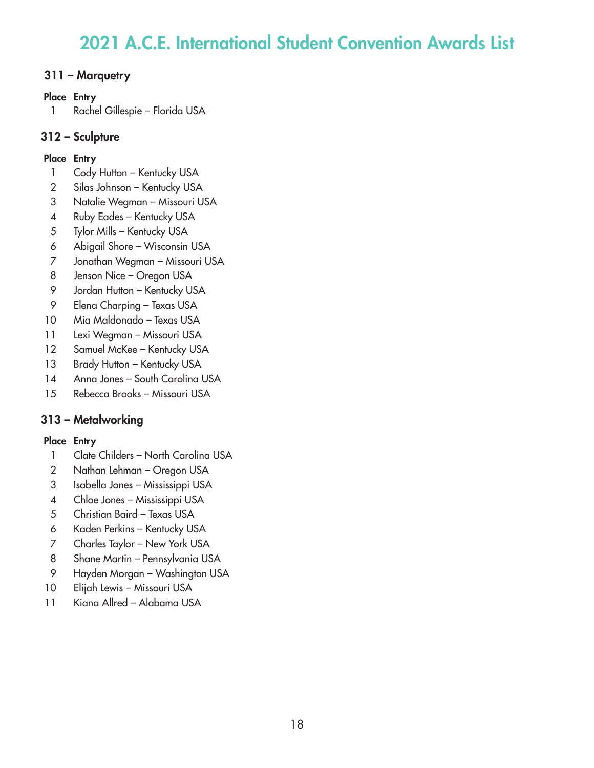## 311 – Marquetry

### Place Entry

Rachel Gillespie – Florida USA

# 312 – Sculpture

## Place Entry

- 1 Cody Hutton Kentucky USA
- Silas Johnson Kentucky USA
- Natalie Wegman Missouri USA
- Ruby Eades Kentucky USA
- Tylor Mills Kentucky USA
- Abigail Shore Wisconsin USA
- Jonathan Wegman Missouri USA
- Jenson Nice Oregon USA
- 9 Jordan Hutton Kentucky USA
- Elena Charping Texas USA
- Mia Maldonado Texas USA
- Lexi Wegman Missouri USA
- 12 Samuel McKee Kentucky USA
- 13 Brady Hutton Kentucky USA
- Anna Jones South Carolina USA
- Rebecca Brooks Missouri USA

# 313 – Metalworking

- 1 Clate Childers North Carolina USA
- Nathan Lehman Oregon USA
- Isabella Jones Mississippi USA
- Chloe Jones Mississippi USA
- Christian Baird Texas USA
- Kaden Perkins Kentucky USA
- Charles Taylor New York USA
- Shane Martin Pennsylvania USA
- Hayden Morgan Washington USA
- Elijah Lewis Missouri USA
- Kiana Allred Alabama USA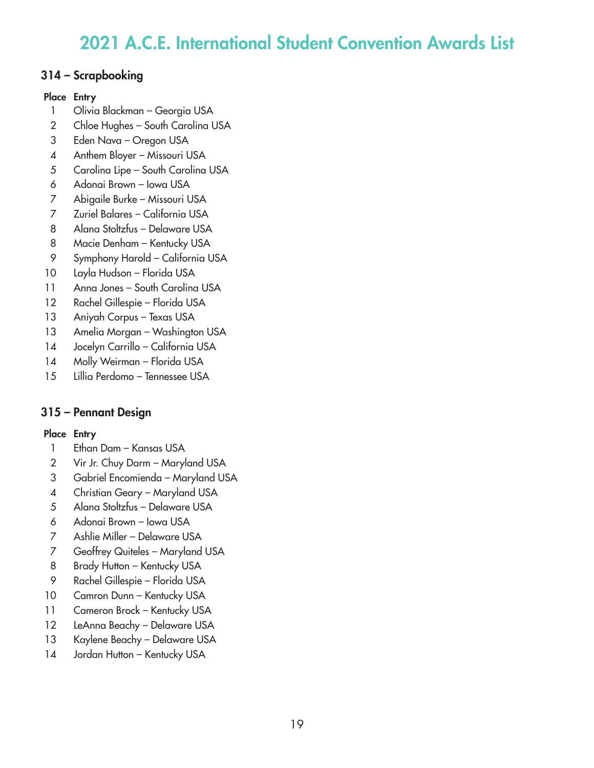## 314 – Scrapbooking

### Place Entry

- Olivia Blackman Georgia USA
- 2 Chloe Hughes South Carolina USA
- Eden Nava Oregon USA
- Anthem Bloyer Missouri USA
- Carolina Lipe South Carolina USA
- Adonai Brown Iowa USA
- Abigaile Burke Missouri USA
- Zuriel Balares California USA
- Alana Stoltzfus Delaware USA
- Macie Denham Kentucky USA
- Symphony Harold California USA
- Layla Hudson Florida USA
- Anna Jones South Carolina USA
- Rachel Gillespie Florida USA
- Aniyah Corpus Texas USA
- Amelia Morgan Washington USA
- 14 Jocelyn Carrillo California USA
- Molly Weirman Florida USA
- Lillia Perdomo Tennessee USA

# 315 – Pennant Design

- Ethan Dam Kansas USA
- Vir Jr. Chuy Darm Maryland USA
- Gabriel Encomienda Maryland USA
- Christian Geary Maryland USA
- Alana Stoltzfus Delaware USA
- Adonai Brown Iowa USA
- Ashlie Miller Delaware USA
- Geoffrey Quiteles Maryland USA
- 8 Brady Hutton Kentucky USA
- Rachel Gillespie Florida USA
- 10 Camron Dunn Kentucky USA
- 11 Cameron Brock Kentucky USA
- LeAnna Beachy Delaware USA
- Kaylene Beachy Delaware USA
- 14 Jordan Hutton Kentucky USA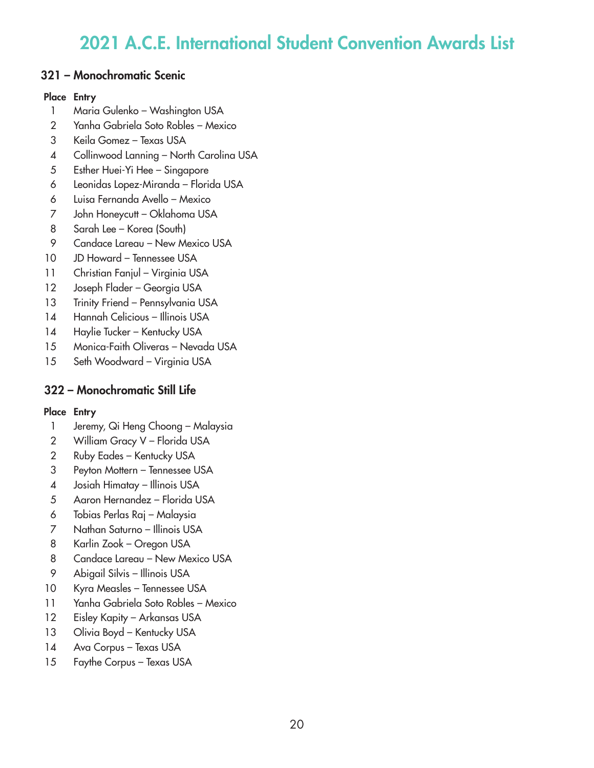## 321 – Monochromatic Scenic

#### Place Entry

- Maria Gulenko Washington USA
- Yanha Gabriela Soto Robles Mexico
- Keila Gomez Texas USA
- Collinwood Lanning North Carolina USA
- Esther Huei-Yi Hee Singapore
- Leonidas Lopez-Miranda Florida USA
- Luisa Fernanda Avello Mexico
- John Honeycutt Oklahoma USA
- Sarah Lee Korea (South)
- Candace Lareau New Mexico USA
- JD Howard Tennessee USA
- 11 Christian Fanjul Virginia USA
- Joseph Flader Georgia USA
- 13 Trinity Friend Pennsylvania USA
- 14 Hannah Celicious Illinois USA
- 14 Haylie Tucker Kentucky USA
- Monica-Faith Oliveras Nevada USA
- Seth Woodward Virginia USA

## 322 – Monochromatic Still Life

- Jeremy, Qi Heng Choong Malaysia
- 2 William Gracy V Florida USA
- Ruby Eades Kentucky USA
- Peyton Mottern Tennessee USA
- Josiah Himatay Illinois USA
- Aaron Hernandez Florida USA
- Tobias Perlas Raj Malaysia
- Nathan Saturno Illinois USA
- Karlin Zook Oregon USA
- 8 Candace Lareau New Mexico USA
- Abigail Silvis Illinois USA
- Kyra Measles Tennessee USA
- Yanha Gabriela Soto Robles Mexico
- 12 Eisley Kapity Arkansas USA
- 13 Olivia Boyd Kentucky USA
- Ava Corpus Texas USA
- Faythe Corpus Texas USA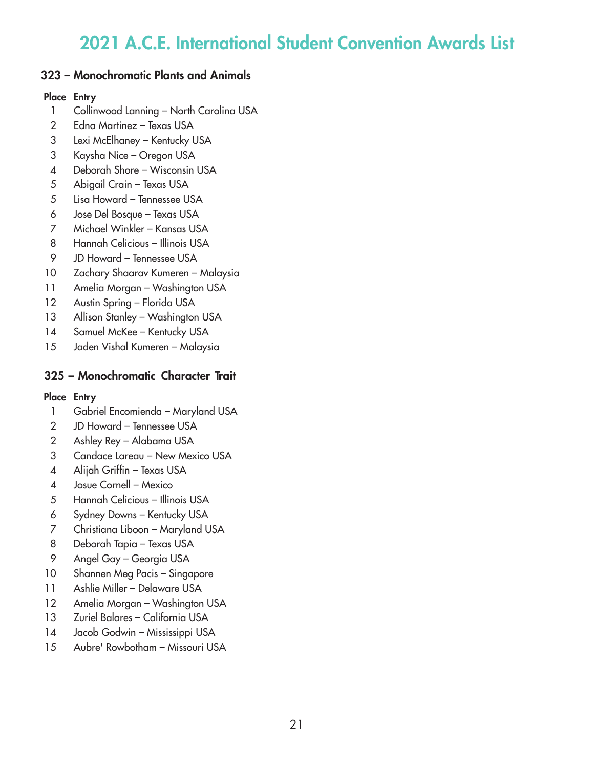## 323 – Monochromatic Plants and Animals

### Place Entry

- Collinwood Lanning North Carolina USA
- Edna Martinez Texas USA
- Lexi McElhaney Kentucky USA
- Kaysha Nice Oregon USA
- Deborah Shore Wisconsin USA
- Abigail Crain Texas USA
- Lisa Howard Tennessee USA
- Jose Del Bosque Texas USA
- Michael Winkler Kansas USA
- Hannah Celicious Illinois USA
- JD Howard Tennessee USA
- Zachary Shaarav Kumeren Malaysia
- Amelia Morgan Washington USA
- 12 Austin Spring Florida USA
- 13 Allison Stanley Washington USA
- 14 Samuel McKee Kentucky USA
- Jaden Vishal Kumeren Malaysia

## 325 – Monochromatic Character Trait

- Gabriel Encomienda Maryland USA
- JD Howard Tennessee USA
- Ashley Rey Alabama USA
- Candace Lareau New Mexico USA
- Alijah Griffin Texas USA
- Josue Cornell Mexico
- Hannah Celicious Illinois USA
- Sydney Downs Kentucky USA
- Christiana Liboon Maryland USA
- Deborah Tapia Texas USA
- Angel Gay Georgia USA
- Shannen Meg Pacis Singapore
- Ashlie Miller Delaware USA
- Amelia Morgan Washington USA
- Zuriel Balares California USA
- Jacob Godwin Mississippi USA
- Aubre' Rowbotham Missouri USA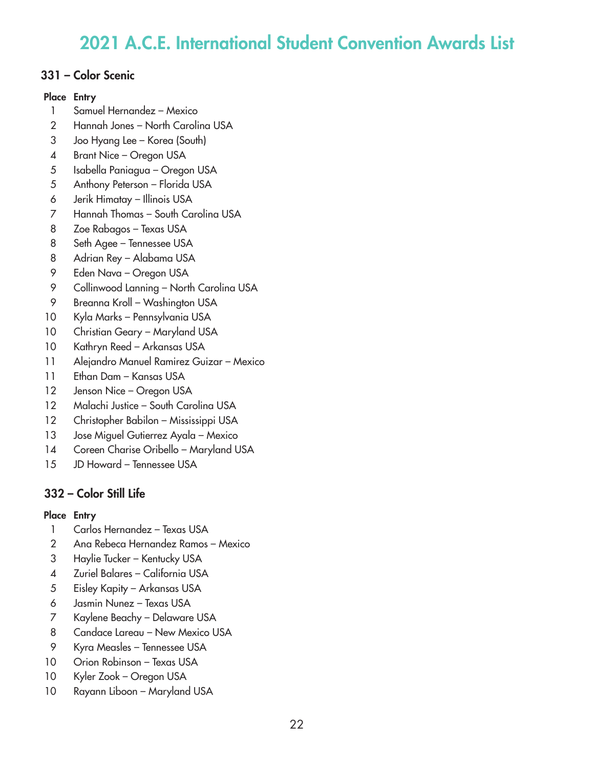## 331 – Color Scenic

### Place Entry

- Samuel Hernandez Mexico
- Hannah Jones North Carolina USA
- Joo Hyang Lee Korea (South)
- Brant Nice Oregon USA
- Isabella Paniagua Oregon USA
- Anthony Peterson Florida USA
- Jerik Himatay Illinois USA
- Hannah Thomas South Carolina USA
- Zoe Rabagos Texas USA
- Seth Agee Tennessee USA
- Adrian Rey Alabama USA
- Eden Nava Oregon USA
- Collinwood Lanning North Carolina USA
- Breanna Kroll Washington USA
- Kyla Marks Pennsylvania USA
- Christian Geary Maryland USA
- Kathryn Reed Arkansas USA
- Alejandro Manuel Ramirez Guizar Mexico
- Ethan Dam Kansas USA
- 12 Jenson Nice Oregon USA
- 12 Malachi Justice South Carolina USA
- Christopher Babilon Mississippi USA
- Jose Miguel Gutierrez Ayala Mexico
- Coreen Charise Oribello Maryland USA
- JD Howard Tennessee USA

# 332 – Color Still Life

- Carlos Hernandez Texas USA
- Ana Rebeca Hernandez Ramos Mexico
- Haylie Tucker Kentucky USA
- Zuriel Balares California USA
- Eisley Kapity Arkansas USA
- Jasmin Nunez Texas USA
- Kaylene Beachy Delaware USA
- Candace Lareau New Mexico USA
- Kyra Measles Tennessee USA
- 10 Orion Robinson Texas USA
- Kyler Zook Oregon USA
- Rayann Liboon Maryland USA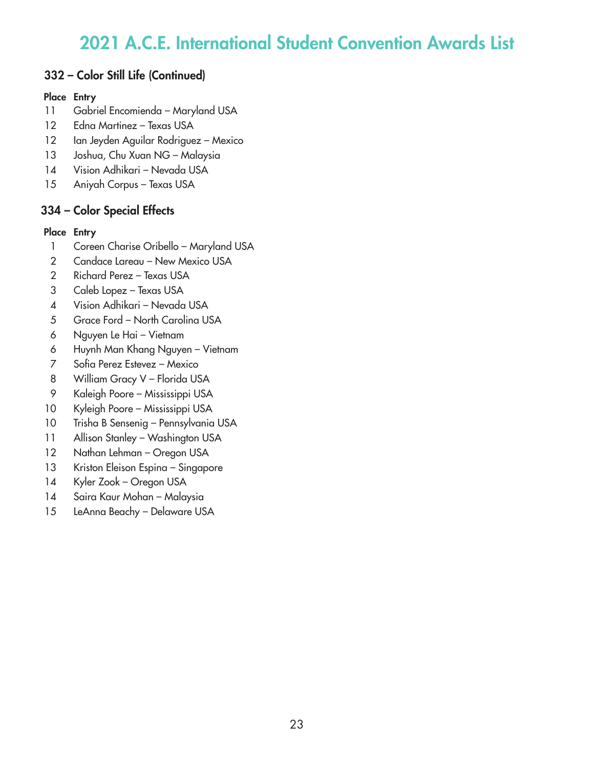## 332 – Color Still Life (Continued)

### Place Entry

- Gabriel Encomienda Maryland USA
- Edna Martinez Texas USA
- 12 Ian Jeyden Aguilar Rodriguez Mexico
- Joshua, Chu Xuan NG Malaysia
- Vision Adhikari Nevada USA
- Aniyah Corpus Texas USA

# 334 – Color Special Effects

- Coreen Charise Oribello Maryland USA
- Candace Lareau New Mexico USA
- Richard Perez Texas USA
- Caleb Lopez Texas USA
- Vision Adhikari Nevada USA
- Grace Ford North Carolina USA
- Nguyen Le Hai Vietnam
- Huynh Man Khang Nguyen Vietnam
- Sofia Perez Estevez Mexico
- 8 William Gracy V Florida USA
- Kaleigh Poore Mississippi USA
- Kyleigh Poore Mississippi USA
- Trisha B Sensenig Pennsylvania USA
- 11 Allison Stanley Washington USA
- 12 Nathan Lehman Oregon USA
- 13 Kriston Eleison Espina Singapore
- Kyler Zook Oregon USA
- Saira Kaur Mohan Malaysia
- LeAnna Beachy Delaware USA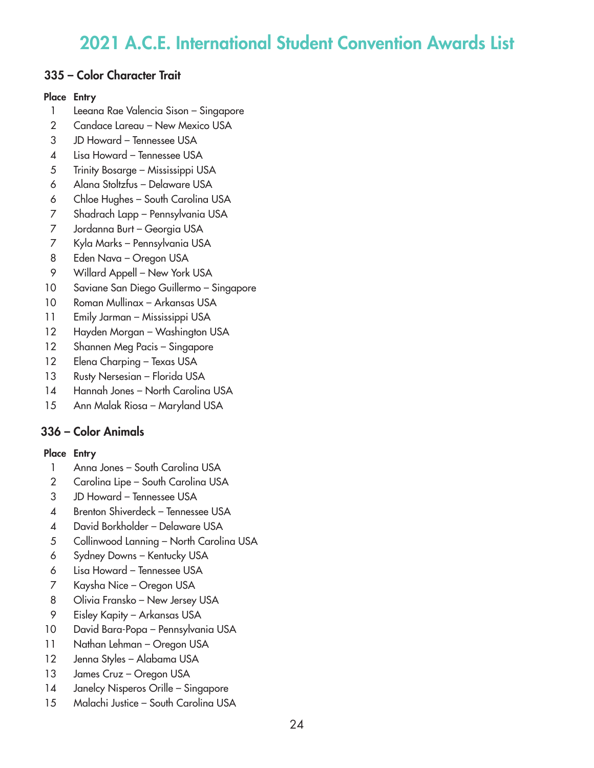### 335 – Color Character Trait

#### Place Entry

- Leeana Rae Valencia Sison Singapore
- Candace Lareau New Mexico USA
- JD Howard Tennessee USA
- Lisa Howard Tennessee USA
- Trinity Bosarge Mississippi USA
- Alana Stoltzfus Delaware USA
- Chloe Hughes South Carolina USA
- Shadrach Lapp Pennsylvania USA
- Jordanna Burt Georgia USA
- Kyla Marks Pennsylvania USA
- Eden Nava Oregon USA
- Willard Appell New York USA
- Saviane San Diego Guillermo Singapore
- Roman Mullinax Arkansas USA
- Emily Jarman Mississippi USA
- Hayden Morgan Washington USA
- Shannen Meg Pacis Singapore
- Elena Charping Texas USA
- 13 Rusty Nersesian Florida USA
- 14 Hannah Jones North Carolina USA
- Ann Malak Riosa Maryland USA

# 336 – Color Animals

- Anna Jones South Carolina USA
- 2 Carolina Lipe South Carolina USA
- JD Howard Tennessee USA
- Brenton Shiverdeck Tennessee USA
- David Borkholder Delaware USA
- Collinwood Lanning North Carolina USA
- Sydney Downs Kentucky USA
- Lisa Howard Tennessee USA
- Kaysha Nice Oregon USA
- Olivia Fransko New Jersey USA
- Eisley Kapity Arkansas USA
- David Bara-Popa Pennsylvania USA
- 11 Nathan Lehman Oregon USA
- Jenna Styles Alabama USA
- 13 James Cruz Oregon USA
- Janelcy Nisperos Orille Singapore
- Malachi Justice South Carolina USA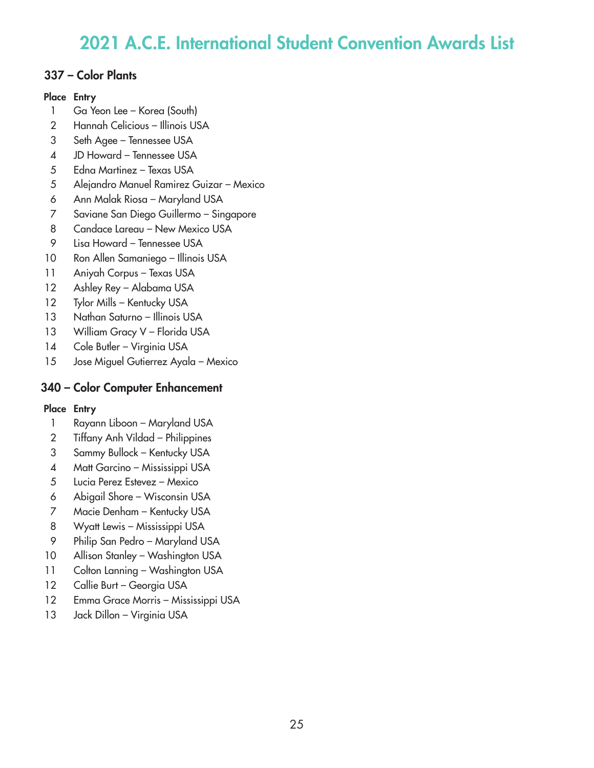## 337 – Color Plants

### Place Entry

- Ga Yeon Lee Korea (South)
- Hannah Celicious Illinois USA
- Seth Agee Tennessee USA
- JD Howard Tennessee USA
- Edna Martinez Texas USA
- Alejandro Manuel Ramirez Guizar Mexico
- Ann Malak Riosa Maryland USA
- Saviane San Diego Guillermo Singapore
- 8 Candace Lareau New Mexico USA
- Lisa Howard Tennessee USA
- Ron Allen Samaniego Illinois USA
- Aniyah Corpus Texas USA
- Ashley Rey Alabama USA
- 12 Tylor Mills Kentucky USA
- 13 Nathan Saturno Illinois USA
- 13 William Gracy V Florida USA
- 14 Cole Butler Virginia USA
- Jose Miguel Gutierrez Ayala Mexico

# 340 – Color Computer Enhancement

- Rayann Liboon Maryland USA
- Tiffany Anh Vildad Philippines
- Sammy Bullock Kentucky USA
- Matt Garcino Mississippi USA
- Lucia Perez Estevez Mexico
- Abigail Shore Wisconsin USA
- Macie Denham Kentucky USA
- Wyatt Lewis Mississippi USA
- Philip San Pedro Maryland USA
- Allison Stanley Washington USA
- 11 Colton Lanning Washington USA
- 12 Callie Burt Georgia USA
- Emma Grace Morris Mississippi USA
- Jack Dillon Virginia USA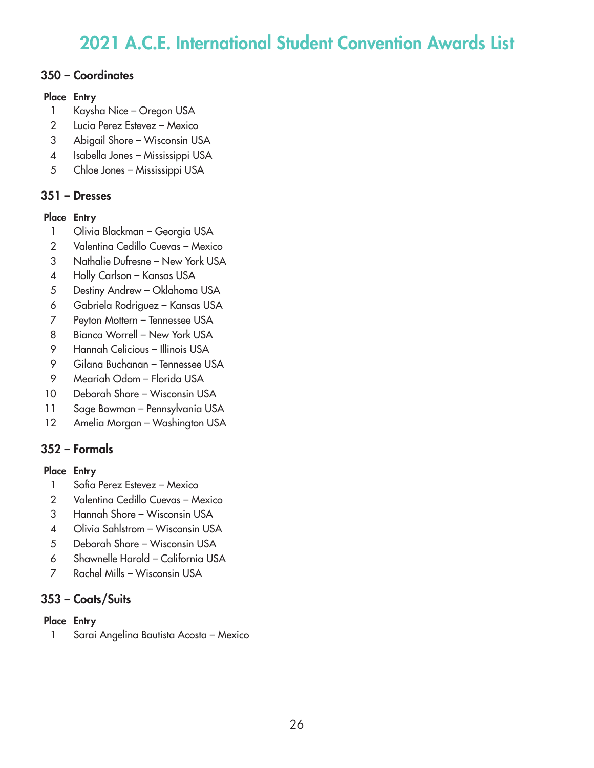## 350 – Coordinates

### Place Entry

- Kaysha Nice Oregon USA
- Lucia Perez Estevez Mexico
- Abigail Shore Wisconsin USA
- Isabella Jones Mississippi USA
- Chloe Jones Mississippi USA

# 351 – Dresses

## Place Entry

- 1 Olivia Blackman Georgia USA
- Valentina Cedillo Cuevas Mexico
- Nathalie Dufresne New York USA
- Holly Carlson Kansas USA
- Destiny Andrew Oklahoma USA
- Gabriela Rodriguez Kansas USA
- Peyton Mottern Tennessee USA
- 8 Bianca Worrell New York USA
- Hannah Celicious Illinois USA
- Gilana Buchanan Tennessee USA
- Meariah Odom Florida USA
- Deborah Shore Wisconsin USA
- Sage Bowman Pennsylvania USA
- Amelia Morgan Washington USA

# 352 – Formals

## Place Entry

- Sofia Perez Estevez Mexico
- Valentina Cedillo Cuevas Mexico
- Hannah Shore Wisconsin USA
- Olivia Sahlstrom Wisconsin USA
- Deborah Shore Wisconsin USA
- Shawnelle Harold California USA
- Rachel Mills Wisconsin USA

# 353 – Coats/Suits

## Place Entry

Sarai Angelina Bautista Acosta – Mexico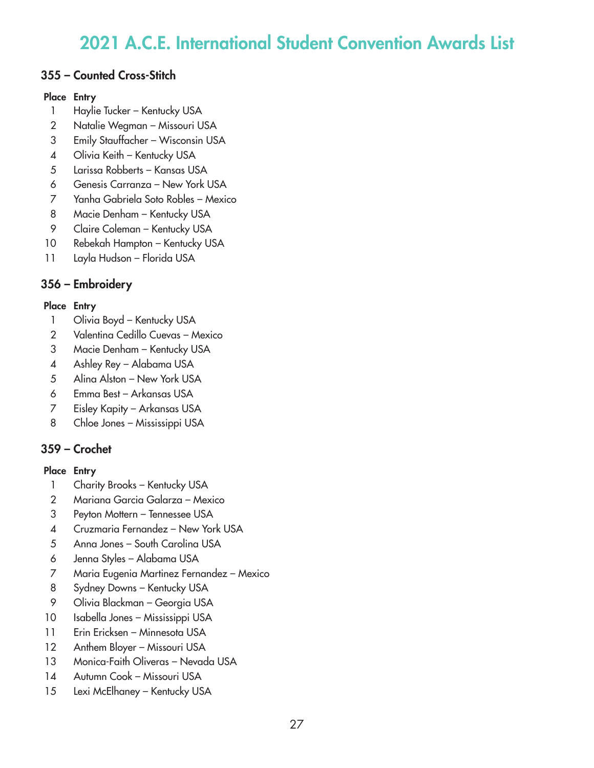## 355 – Counted Cross-Stitch

### Place Entry

- Haylie Tucker Kentucky USA
- Natalie Wegman Missouri USA
- Emily Stauffacher Wisconsin USA
- 4 Olivia Keith Kentucky USA
- Larissa Robberts Kansas USA
- Genesis Carranza New York USA
- Yanha Gabriela Soto Robles Mexico
- 8 Macie Denham Kentucky USA
- 9 Claire Coleman Kentucky USA
- Rebekah Hampton Kentucky USA
- Layla Hudson Florida USA

# 356 – Embroidery

## Place Entry

- 1 Olivia Boyd Kentucky USA
- Valentina Cedillo Cuevas Mexico
- Macie Denham Kentucky USA
- Ashley Rey Alabama USA
- Alina Alston New York USA
- Emma Best Arkansas USA
- Eisley Kapity Arkansas USA
- Chloe Jones Mississippi USA

# 359 – Crochet

- 1 Charity Brooks Kentucky USA
- Mariana Garcia Galarza Mexico
- Peyton Mottern Tennessee USA
- Cruzmaria Fernandez New York USA
- Anna Jones South Carolina USA
- Jenna Styles Alabama USA
- Maria Eugenia Martinez Fernandez Mexico
- 8 Sydney Downs Kentucky USA
- Olivia Blackman Georgia USA
- Isabella Jones Mississippi USA
- Erin Ericksen Minnesota USA
- 12 Anthem Bloyer Missouri USA
- Monica-Faith Oliveras Nevada USA
- Autumn Cook Missouri USA
- 15 Lexi McElhaney Kentucky USA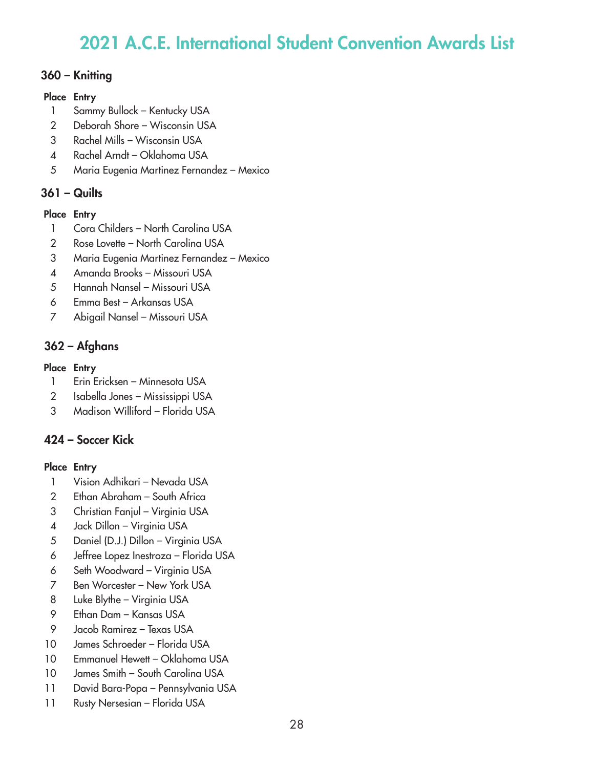### 360 – Knitting

### Place Entry

- Sammy Bullock Kentucky USA
- Deborah Shore Wisconsin USA
- Rachel Mills Wisconsin USA
- Rachel Arndt Oklahoma USA
- Maria Eugenia Martinez Fernandez Mexico

## 361 – Quilts

### Place Entry

- Cora Childers North Carolina USA
- 2 Rose Lovette North Carolina USA
- Maria Eugenia Martinez Fernandez Mexico
- Amanda Brooks Missouri USA
- Hannah Nansel Missouri USA
- Emma Best Arkansas USA
- Abigail Nansel Missouri USA

# 362 – Afghans

### Place Entry

- Erin Ericksen Minnesota USA
- Isabella Jones Mississippi USA
- Madison Williford Florida USA

# 424 – Soccer Kick

- Vision Adhikari Nevada USA
- Ethan Abraham South Africa
- Christian Fanjul Virginia USA
- Jack Dillon Virginia USA
- Daniel (D.J.) Dillon Virginia USA
- Jeffree Lopez Inestroza Florida USA
- Seth Woodward Virginia USA
- Ben Worcester New York USA
- Luke Blythe Virginia USA
- Ethan Dam Kansas USA
- Jacob Ramirez Texas USA
- James Schroeder Florida USA
- Emmanuel Hewett Oklahoma USA
- James Smith South Carolina USA
- David Bara-Popa Pennsylvania USA
- 11 Rusty Nersesian Florida USA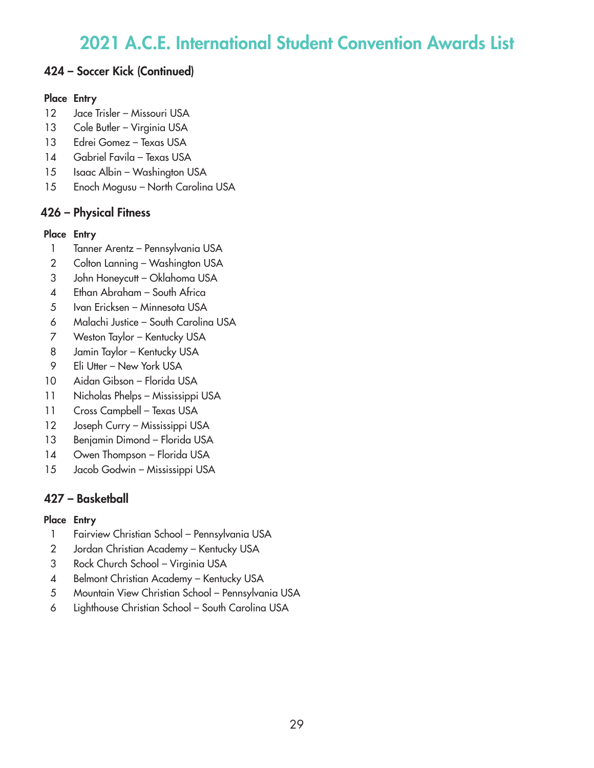# 424 – Soccer Kick (Continued)

### Place Entry

- Jace Trisler Missouri USA
- 13 Cole Butler Virginia USA
- Edrei Gomez Texas USA
- Gabriel Favila Texas USA
- 15 Isaac Albin Washington USA
- Enoch Mogusu North Carolina USA

# 426 – Physical Fitness

### Place Entry

- Tanner Arentz Pennsylvania USA
- 2 Colton Lanning Washington USA
- John Honeycutt Oklahoma USA
- Ethan Abraham South Africa
- Ivan Ericksen Minnesota USA
- Malachi Justice South Carolina USA
- Weston Taylor Kentucky USA
- 8 Jamin Taylor Kentucky USA
- Eli Utter New York USA
- Aidan Gibson Florida USA
- Nicholas Phelps Mississippi USA
- Cross Campbell Texas USA
- Joseph Curry Mississippi USA
- Benjamin Dimond Florida USA
- 14 Owen Thompson Florida USA
- Jacob Godwin Mississippi USA

# 427 – Basketball

- Fairview Christian School Pennsylvania USA
- Jordan Christian Academy Kentucky USA
- Rock Church School Virginia USA
- Belmont Christian Academy Kentucky USA
- Mountain View Christian School Pennsylvania USA
- Lighthouse Christian School South Carolina USA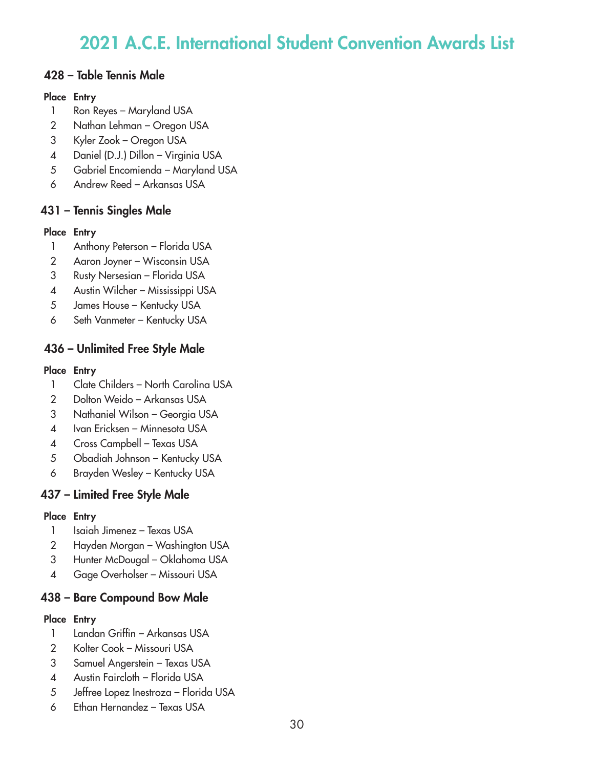## 428 – Table Tennis Male

### Place Entry

- Ron Reyes Maryland USA
- Nathan Lehman Oregon USA
- Kyler Zook Oregon USA
- Daniel (D.J.) Dillon Virginia USA
- Gabriel Encomienda Maryland USA
- Andrew Reed Arkansas USA

# 431 – Tennis Singles Male

## Place Entry

- Anthony Peterson Florida USA
- Aaron Joyner Wisconsin USA
- Rusty Nersesian Florida USA
- Austin Wilcher Mississippi USA
- James House Kentucky USA
- Seth Vanmeter Kentucky USA

# 436 – Unlimited Free Style Male

### Place Entry

- 1 Clate Childers North Carolina USA
- Dolton Weido Arkansas USA
- Nathaniel Wilson Georgia USA
- Ivan Ericksen Minnesota USA
- Cross Campbell Texas USA
- Obadiah Johnson Kentucky USA
- Brayden Wesley Kentucky USA

# 437 – Limited Free Style Male

### Place Entry

- 1 Isaiah Jimenez Texas USA
- Hayden Morgan Washington USA
- Hunter McDougal Oklahoma USA
- Gage Overholser Missouri USA

# 438 – Bare Compound Bow Male

- Landan Griffin Arkansas USA
- Kolter Cook Missouri USA
- Samuel Angerstein Texas USA
- Austin Faircloth Florida USA
- Jeffree Lopez Inestroza Florida USA
- Ethan Hernandez Texas USA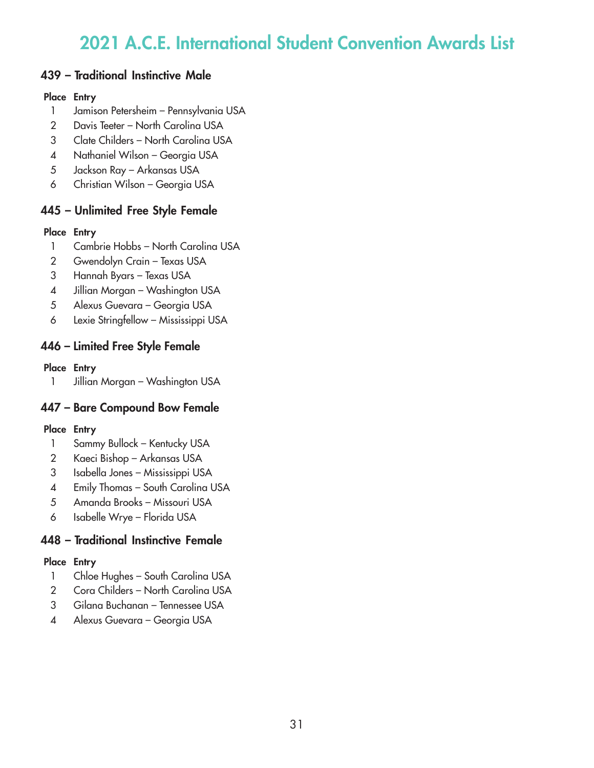## 439 – Traditional Instinctive Male

### Place Entry

- 1 Jamison Petersheim Pennsylvania USA
- 2 Davis Teeter North Carolina USA
- 3 Clate Childers North Carolina USA
- 4 Nathaniel Wilson Georgia USA
- 5 Jackson Ray Arkansas USA
- 6 Christian Wilson Georgia USA

# 445 – Unlimited Free Style Female

### Place Entry

- 1 Cambrie Hobbs North Carolina USA
- 2 Gwendolyn Crain Texas USA
- 3 Hannah Byars Texas USA
- 4 Jillian Morgan Washington USA
- 5 Alexus Guevara Georgia USA
- 6 Lexie Stringfellow Mississippi USA

# 446 – Limited Free Style Female

## Place Entry

1 Jillian Morgan – Washington USA

# 447 – Bare Compound Bow Female

## Place Entry

- 1 Sammy Bullock Kentucky USA
- 2 Kaeci Bishop Arkansas USA
- 3 Isabella Jones Mississippi USA
- 4 Emily Thomas South Carolina USA
- 5 Amanda Brooks Missouri USA
- 6 Isabelle Wrye Florida USA

# 448 – Traditional Instinctive Female

- 1 Chloe Hughes South Carolina USA
- 2 Cora Childers North Carolina USA
- 3 Gilana Buchanan Tennessee USA
- 4 Alexus Guevara Georgia USA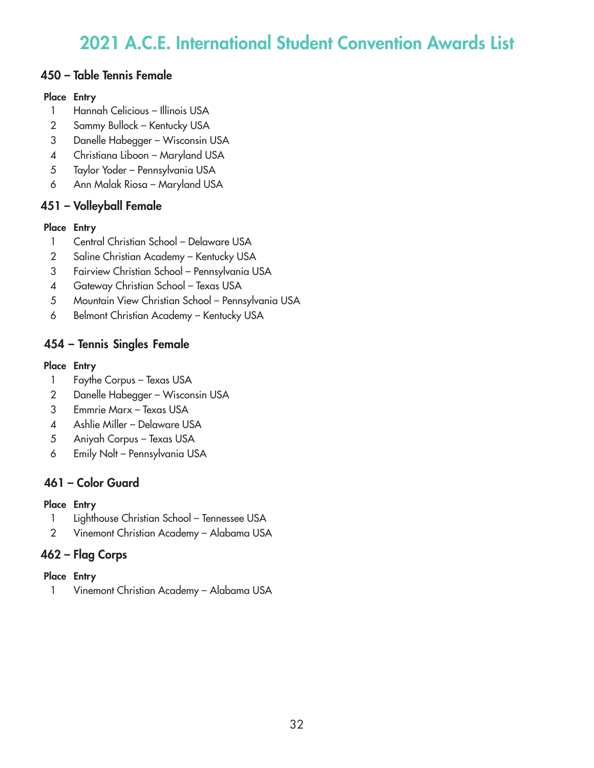### 450 – Table Tennis Female

### Place Entry

- Hannah Celicious Illinois USA
- Sammy Bullock Kentucky USA
- Danelle Habegger Wisconsin USA
- Christiana Liboon Maryland USA
- Taylor Yoder Pennsylvania USA
- Ann Malak Riosa Maryland USA

## 451 – Volleyball Female

### Place Entry

- Central Christian School Delaware USA
- Saline Christian Academy Kentucky USA
- Fairview Christian School Pennsylvania USA
- Gateway Christian School Texas USA
- Mountain View Christian School Pennsylvania USA
- Belmont Christian Academy Kentucky USA

# 454 – Tennis Singles Female

### Place Entry

- Faythe Corpus Texas USA
- Danelle Habegger Wisconsin USA
- Emmrie Marx Texas USA
- Ashlie Miller Delaware USA
- Aniyah Corpus Texas USA
- Emily Nolt Pennsylvania USA

# 461 – Color Guard

### Place Entry

- Lighthouse Christian School Tennessee USA
- Vinemont Christian Academy Alabama USA

# 462 – Flag Corps

### Place Entry

Vinemont Christian Academy – Alabama USA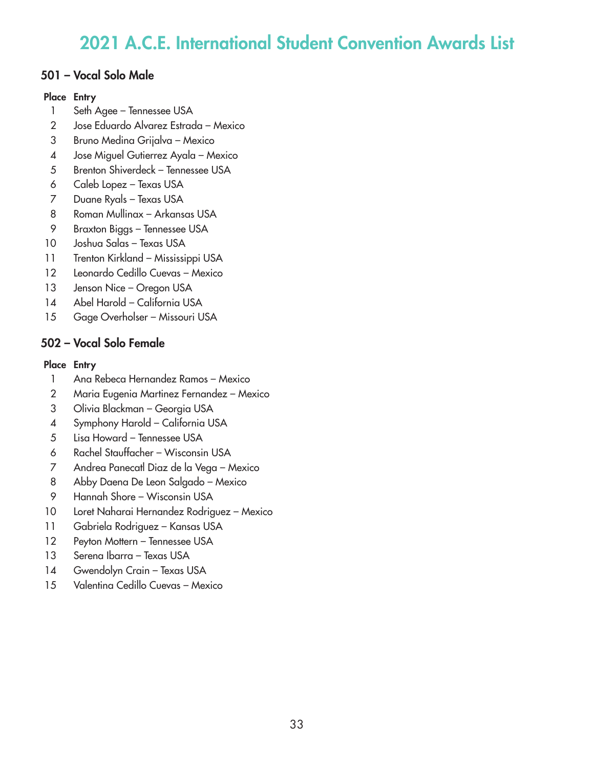## 501 – Vocal Solo Male

#### Place Entry

- Seth Agee Tennessee USA
- Jose Eduardo Alvarez Estrada Mexico
- Bruno Medina Grijalva Mexico
- Jose Miguel Gutierrez Ayala Mexico
- Brenton Shiverdeck Tennessee USA
- Caleb Lopez Texas USA
- Duane Ryals Texas USA
- Roman Mullinax Arkansas USA
- Braxton Biggs Tennessee USA
- Joshua Salas Texas USA
- Trenton Kirkland Mississippi USA
- Leonardo Cedillo Cuevas Mexico
- 13 Jenson Nice Oregon USA
- Abel Harold California USA
- Gage Overholser Missouri USA

# 502 – Vocal Solo Female

- Ana Rebeca Hernandez Ramos Mexico
- Maria Eugenia Martinez Fernandez Mexico
- Olivia Blackman Georgia USA
- Symphony Harold California USA
- Lisa Howard Tennessee USA
- Rachel Stauffacher Wisconsin USA
- Andrea Panecatl Diaz de la Vega Mexico
- Abby Daena De Leon Salgado Mexico
- Hannah Shore Wisconsin USA
- Loret Naharai Hernandez Rodriguez Mexico
- Gabriela Rodriguez Kansas USA
- 12 Peyton Mottern Tennessee USA
- Serena Ibarra Texas USA
- Gwendolyn Crain Texas USA
- Valentina Cedillo Cuevas Mexico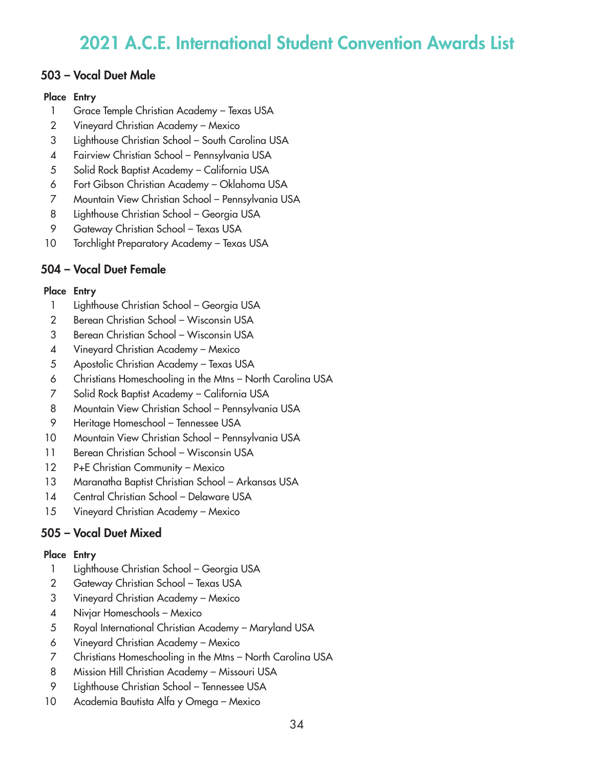## 503 – Vocal Duet Male

### Place Entry

- Grace Temple Christian Academy Texas USA
- Vineyard Christian Academy Mexico
- Lighthouse Christian School South Carolina USA
- Fairview Christian School Pennsylvania USA
- Solid Rock Baptist Academy California USA
- Fort Gibson Christian Academy Oklahoma USA
- Mountain View Christian School Pennsylvania USA
- Lighthouse Christian School Georgia USA
- Gateway Christian School Texas USA
- Torchlight Preparatory Academy Texas USA

# 504 – Vocal Duet Female

### Place Entry

- Lighthouse Christian School Georgia USA
- Berean Christian School Wisconsin USA
- Berean Christian School Wisconsin USA
- Vineyard Christian Academy Mexico
- Apostolic Christian Academy Texas USA
- Christians Homeschooling in the Mtns North Carolina USA
- Solid Rock Baptist Academy California USA
- Mountain View Christian School Pennsylvania USA
- Heritage Homeschool Tennessee USA
- Mountain View Christian School Pennsylvania USA
- Berean Christian School Wisconsin USA
- 12 P+E Christian Community Mexico
- Maranatha Baptist Christian School Arkansas USA
- Central Christian School Delaware USA
- Vineyard Christian Academy Mexico

# 505 – Vocal Duet Mixed

- Lighthouse Christian School Georgia USA
- Gateway Christian School Texas USA
- Vineyard Christian Academy Mexico
- Nivjar Homeschools Mexico
- Royal International Christian Academy Maryland USA
- Vineyard Christian Academy Mexico
- Christians Homeschooling in the Mtns North Carolina USA
- Mission Hill Christian Academy Missouri USA
- Lighthouse Christian School Tennessee USA
- Academia Bautista Alfa y Omega Mexico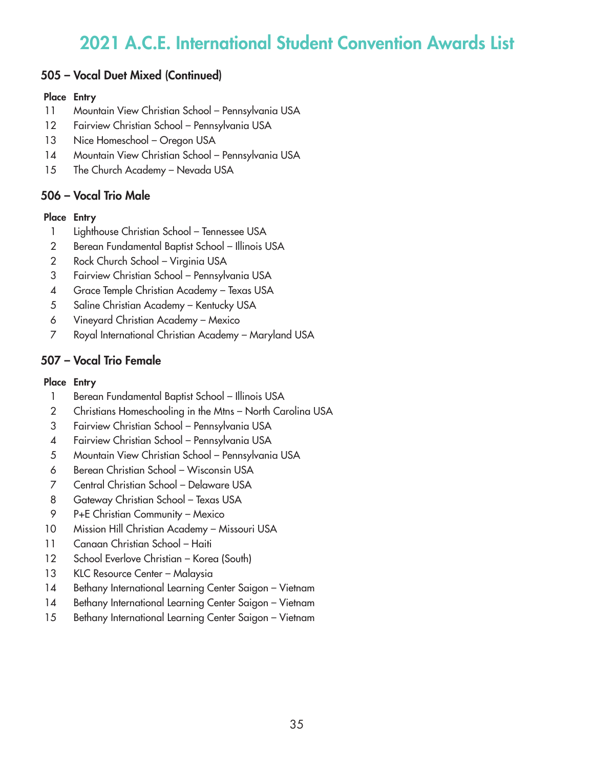## 505 – Vocal Duet Mixed (Continued)

#### Place Entry

- 11 Mountain View Christian School Pennsylvania USA
- 12 Fairview Christian School Pennsylvania USA
- 13 Nice Homeschool Oregon USA
- 14 Mountain View Christian School Pennsylvania USA
- 15 The Church Academy Nevada USA

## 506 – Vocal Trio Male

#### Place Entry

- 1 Lighthouse Christian School Tennessee USA
- 2 Berean Fundamental Baptist School Illinois USA
- 2 Rock Church School Virginia USA
- 3 Fairview Christian School Pennsylvania USA
- 4 Grace Temple Christian Academy Texas USA
- 5 Saline Christian Academy Kentucky USA
- 6 Vineyard Christian Academy Mexico
- 7 Royal International Christian Academy Maryland USA

## 507 – Vocal Trio Female

- 1 Berean Fundamental Baptist School Illinois USA
- 2 Christians Homeschooling in the Mtns North Carolina USA
- 3 Fairview Christian School Pennsylvania USA
- 4 Fairview Christian School Pennsylvania USA
- 5 Mountain View Christian School Pennsylvania USA
- 6 Berean Christian School Wisconsin USA
- 7 Central Christian School Delaware USA
- 8 Gateway Christian School Texas USA
- 9 P+E Christian Community Mexico
- 10 Mission Hill Christian Academy Missouri USA
- 11 Canaan Christian School Haiti
- 12 School Everlove Christian Korea (South)
- 13 KLC Resource Center Malaysia
- 14 Bethany International Learning Center Saigon Vietnam
- 14 Bethany International Learning Center Saigon Vietnam
- 15 Bethany International Learning Center Saigon Vietnam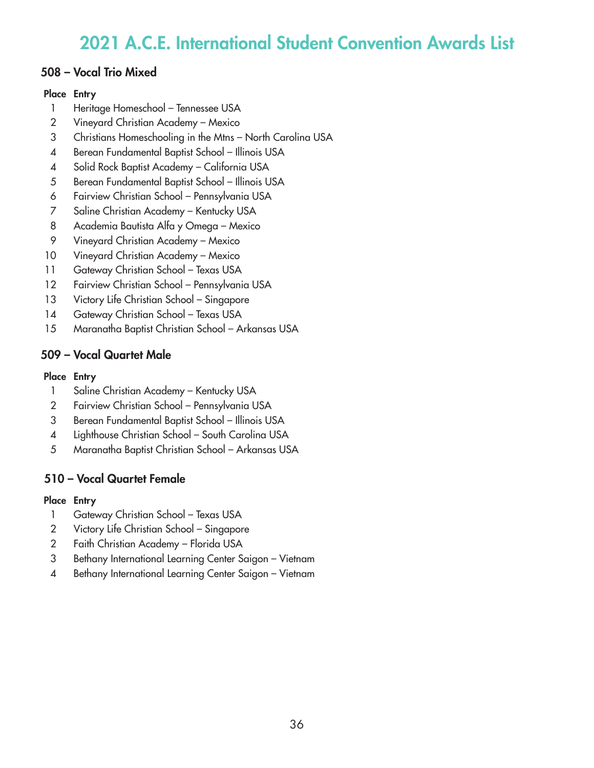## 508 – Vocal Trio Mixed

### Place Entry

- 1 Heritage Homeschool Tennessee USA
- Vineyard Christian Academy Mexico
- Christians Homeschooling in the Mtns North Carolina USA
- Berean Fundamental Baptist School Illinois USA
- Solid Rock Baptist Academy California USA
- Berean Fundamental Baptist School Illinois USA
- Fairview Christian School Pennsylvania USA
- Saline Christian Academy Kentucky USA
- Academia Bautista Alfa y Omega Mexico
- Vineyard Christian Academy Mexico
- Vineyard Christian Academy Mexico
- 11 Gateway Christian School Texas USA
- Fairview Christian School Pennsylvania USA
- 13 Victory Life Christian School Singapore
- 14 Gateway Christian School Texas USA
- Maranatha Baptist Christian School Arkansas USA

# 509 – Vocal Quartet Male

### Place Entry

- 1 Saline Christian Academy Kentucky USA
- Fairview Christian School Pennsylvania USA
- Berean Fundamental Baptist School Illinois USA
- Lighthouse Christian School South Carolina USA
- Maranatha Baptist Christian School Arkansas USA

# 510 – Vocal Quartet Female

- 1 Gateway Christian School Texas USA
- Victory Life Christian School Singapore
- Faith Christian Academy Florida USA
- Bethany International Learning Center Saigon Vietnam
- Bethany International Learning Center Saigon Vietnam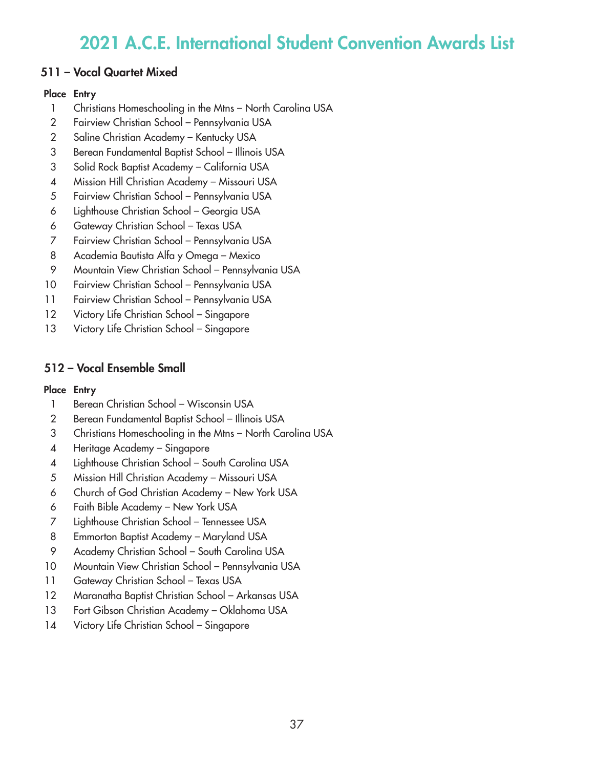## 511 – Vocal Quartet Mixed

### Place Entry

- 1 Christians Homeschooling in the Mtns North Carolina USA
- Fairview Christian School Pennsylvania USA
- Saline Christian Academy Kentucky USA
- Berean Fundamental Baptist School Illinois USA
- Solid Rock Baptist Academy California USA
- Mission Hill Christian Academy Missouri USA
- Fairview Christian School Pennsylvania USA
- Lighthouse Christian School Georgia USA
- Gateway Christian School Texas USA
- Fairview Christian School Pennsylvania USA
- Academia Bautista Alfa y Omega Mexico
- Mountain View Christian School Pennsylvania USA
- Fairview Christian School Pennsylvania USA
- Fairview Christian School Pennsylvania USA
- 12 Victory Life Christian School Singapore
- Victory Life Christian School Singapore

# 512 – Vocal Ensemble Small

- 1 Berean Christian School Wisconsin USA
- Berean Fundamental Baptist School Illinois USA
- Christians Homeschooling in the Mtns North Carolina USA
- Heritage Academy Singapore
- Lighthouse Christian School South Carolina USA
- Mission Hill Christian Academy Missouri USA
- Church of God Christian Academy New York USA
- Faith Bible Academy New York USA
- Lighthouse Christian School Tennessee USA
- Emmorton Baptist Academy Maryland USA
- Academy Christian School South Carolina USA
- Mountain View Christian School Pennsylvania USA
- Gateway Christian School Texas USA
- Maranatha Baptist Christian School Arkansas USA
- Fort Gibson Christian Academy Oklahoma USA
- Victory Life Christian School Singapore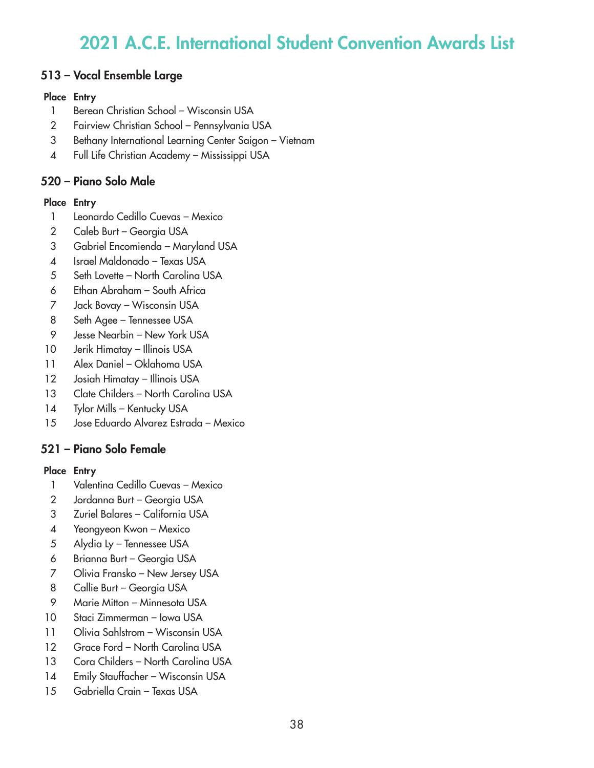## 513 – Vocal Ensemble Large

### Place Entry

- Berean Christian School Wisconsin USA
- Fairview Christian School Pennsylvania USA
- Bethany International Learning Center Saigon Vietnam
- Full Life Christian Academy Mississippi USA

# 520 – Piano Solo Male

### Place Entry

- Leonardo Cedillo Cuevas Mexico
- Caleb Burt Georgia USA
- Gabriel Encomienda Maryland USA
- Israel Maldonado Texas USA
- 5 Seth Lovette North Carolina USA
- Ethan Abraham South Africa
- Jack Bovay Wisconsin USA
- Seth Agee Tennessee USA
- Jesse Nearbin New York USA
- 10 Jerik Himatay Illinois USA
- Alex Daniel Oklahoma USA
- Josiah Himatay Illinois USA
- 13 Clate Childers North Carolina USA
- 14 Tylor Mills Kentucky USA
- Jose Eduardo Alvarez Estrada Mexico

## 521 – Piano Solo Female

- Valentina Cedillo Cuevas Mexico
- 2 Jordanna Burt Georgia USA
- Zuriel Balares California USA
- Yeongyeon Kwon Mexico
- Alydia Ly Tennessee USA
- Brianna Burt Georgia USA
- Olivia Fransko New Jersey USA
- Callie Burt Georgia USA
- Marie Mitton Minnesota USA
- Staci Zimmerman Iowa USA
- Olivia Sahlstrom Wisconsin USA
- Grace Ford North Carolina USA
- 13 Cora Childers North Carolina USA
- 14 Emily Stauffacher Wisconsin USA
- Gabriella Crain Texas USA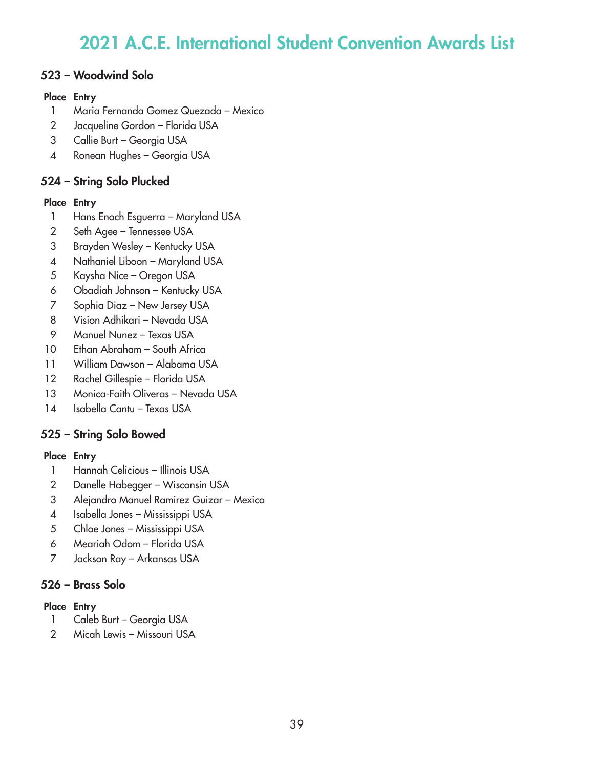## 523 – Woodwind Solo

### Place Entry

- Maria Fernanda Gomez Quezada Mexico
- Jacqueline Gordon Florida USA
- Callie Burt Georgia USA
- Ronean Hughes Georgia USA

# 524 – String Solo Plucked

### Place Entry

- Hans Enoch Esguerra Maryland USA
- Seth Agee Tennessee USA
- Brayden Wesley Kentucky USA
- Nathaniel Liboon Maryland USA
- Kaysha Nice Oregon USA
- Obadiah Johnson Kentucky USA
- Sophia Diaz New Jersey USA
- Vision Adhikari Nevada USA
- Manuel Nunez Texas USA
- Ethan Abraham South Africa
- William Dawson Alabama USA
- Rachel Gillespie Florida USA
- Monica-Faith Oliveras Nevada USA
- Isabella Cantu Texas USA

# 525 – String Solo Bowed

### Place Entry

- 1 Hannah Celicious Illinois USA
- Danelle Habegger Wisconsin USA
- Alejandro Manuel Ramirez Guizar Mexico
- Isabella Jones Mississippi USA
- Chloe Jones Mississippi USA
- Meariah Odom Florida USA
- Jackson Ray Arkansas USA

# 526 – Brass Solo

- 1 Caleb Burt Georgia USA
- Micah Lewis Missouri USA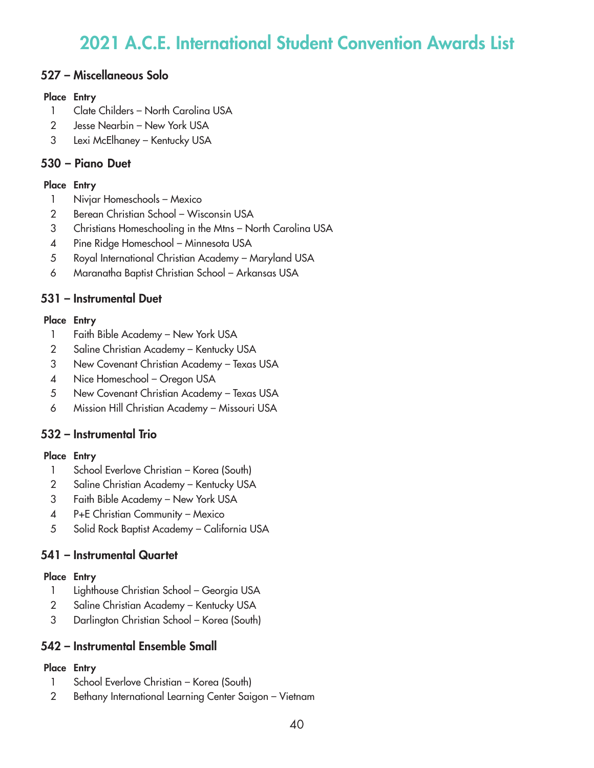## 527 – Miscellaneous Solo

#### Place Entry

- Clate Childers North Carolina USA
- Jesse Nearbin New York USA
- Lexi McElhaney Kentucky USA

## 530 – Piano Duet

### Place Entry

- Nivjar Homeschools Mexico
- Berean Christian School Wisconsin USA
- Christians Homeschooling in the Mtns North Carolina USA
- Pine Ridge Homeschool Minnesota USA
- Royal International Christian Academy Maryland USA
- Maranatha Baptist Christian School Arkansas USA

## 531 – Instrumental Duet

### Place Entry

- 1 Faith Bible Academy New York USA
- Saline Christian Academy Kentucky USA
- New Covenant Christian Academy Texas USA
- 4 Nice Homeschool Oregon USA
- New Covenant Christian Academy Texas USA
- Mission Hill Christian Academy Missouri USA

# 532 – Instrumental Trio

### Place Entry

- School Everlove Christian Korea (South)
- Saline Christian Academy Kentucky USA
- Faith Bible Academy New York USA
- P+E Christian Community Mexico
- Solid Rock Baptist Academy California USA

## 541 – Instrumental Quartet

### Place Entry

- Lighthouse Christian School Georgia USA
- Saline Christian Academy Kentucky USA
- Darlington Christian School Korea (South)

## 542 – Instrumental Ensemble Small

- School Everlove Christian Korea (South)
- Bethany International Learning Center Saigon Vietnam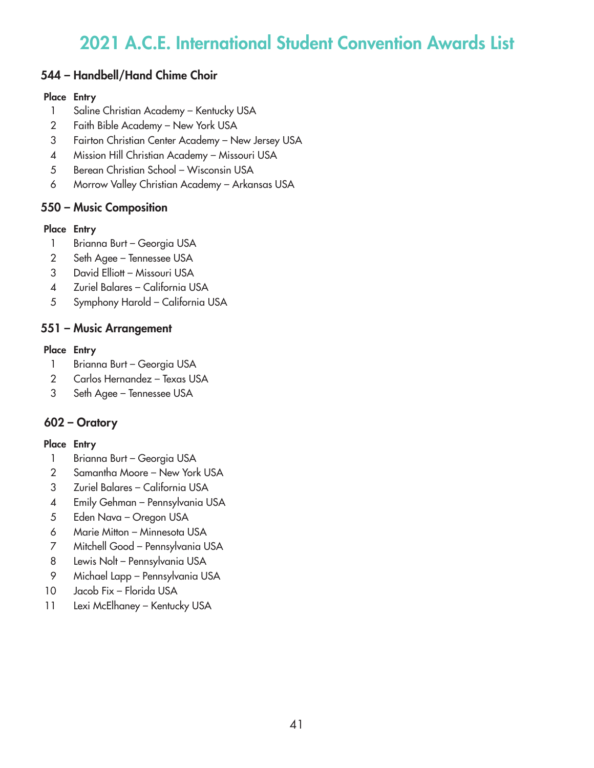## 544 – Handbell/Hand Chime Choir

### Place Entry

- Saline Christian Academy Kentucky USA
- Faith Bible Academy New York USA
- Fairton Christian Center Academy New Jersey USA
- Mission Hill Christian Academy Missouri USA
- Berean Christian School Wisconsin USA
- Morrow Valley Christian Academy Arkansas USA

## 550 – Music Composition

### Place Entry

- 1 Brianna Burt Georgia USA
- Seth Agee Tennessee USA
- David Elliott Missouri USA
- Zuriel Balares California USA
- Symphony Harold California USA

## 551 – Music Arrangement

### Place Entry

- 1 Brianna Burt Georgia USA
- Carlos Hernandez Texas USA
- Seth Agee Tennessee USA

# 602 – Oratory

- 1 Brianna Burt Georgia USA
- Samantha Moore New York USA
- Zuriel Balares California USA
- Emily Gehman Pennsylvania USA
- Eden Nava Oregon USA
- Marie Mitton Minnesota USA
- Mitchell Good Pennsylvania USA
- Lewis Nolt Pennsylvania USA
- Michael Lapp Pennsylvania USA
- Jacob Fix Florida USA
- 11 Lexi McElhaney Kentucky USA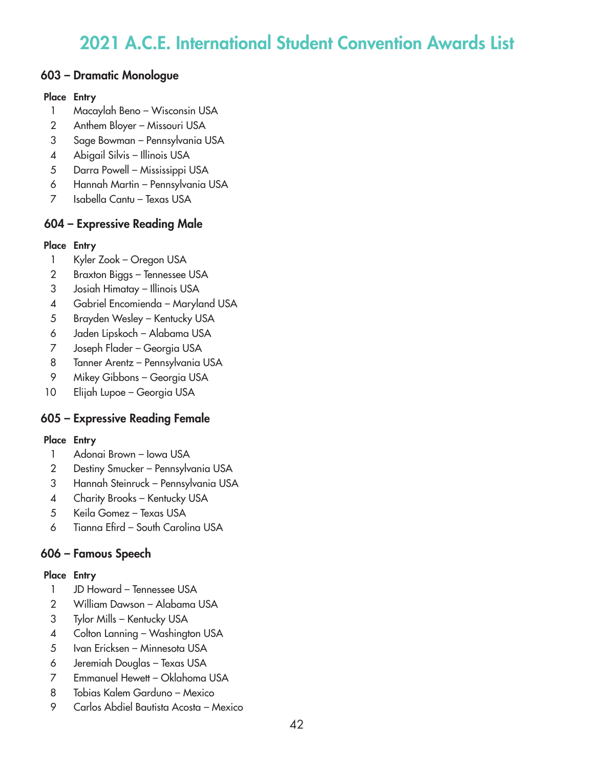### 603 – Dramatic Monologue

#### Place Entry

- Macaylah Beno Wisconsin USA
- Anthem Bloyer Missouri USA
- Sage Bowman Pennsylvania USA
- Abigail Silvis Illinois USA
- Darra Powell Mississippi USA
- Hannah Martin Pennsylvania USA
- Isabella Cantu Texas USA

## 604 – Expressive Reading Male

### Place Entry

- Kyler Zook Oregon USA
- Braxton Biggs Tennessee USA
- Josiah Himatay Illinois USA
- Gabriel Encomienda Maryland USA
- Brayden Wesley Kentucky USA
- Jaden Lipskoch Alabama USA
- Joseph Flader Georgia USA
- Tanner Arentz Pennsylvania USA
- Mikey Gibbons Georgia USA
- Elijah Lupoe Georgia USA

# 605 – Expressive Reading Female

### Place Entry

- Adonai Brown Iowa USA
- Destiny Smucker Pennsylvania USA
- Hannah Steinruck Pennsylvania USA
- 4 Charity Brooks Kentucky USA
- Keila Gomez Texas USA
- Tianna Efird South Carolina USA

# 606 – Famous Speech

- JD Howard Tennessee USA
- William Dawson Alabama USA
- Tylor Mills Kentucky USA
- Colton Lanning Washington USA
- Ivan Ericksen Minnesota USA
- Jeremiah Douglas Texas USA
- Emmanuel Hewett Oklahoma USA
- Tobias Kalem Garduno Mexico
- Carlos Abdiel Bautista Acosta Mexico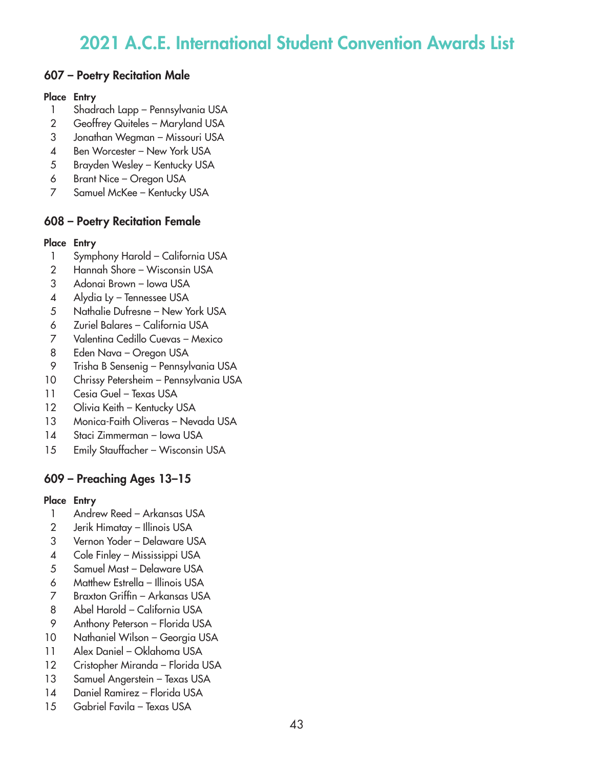### 607 – Poetry Recitation Male

#### Place Entry

- Shadrach Lapp Pennsylvania USA
- Geoffrey Quiteles Maryland USA
- Jonathan Wegman Missouri USA
- Ben Worcester New York USA
- Brayden Wesley Kentucky USA
- Brant Nice Oregon USA
- Samuel McKee Kentucky USA

## 608 – Poetry Recitation Female

### Place Entry

- Symphony Harold California USA
- Hannah Shore Wisconsin USA
- Adonai Brown Iowa USA
- Alydia Ly Tennessee USA
- Nathalie Dufresne New York USA
- Zuriel Balares California USA
- Valentina Cedillo Cuevas Mexico
- Eden Nava Oregon USA
- Trisha B Sensenig Pennsylvania USA
- Chrissy Petersheim Pennsylvania USA
- Cesia Guel Texas USA
- 12 Olivia Keith Kentucky USA
- Monica-Faith Oliveras Nevada USA
- Staci Zimmerman Iowa USA
- Emily Stauffacher Wisconsin USA

## 609 – Preaching Ages 13–15

- Andrew Reed Arkansas USA
- Jerik Himatay Illinois USA
- Vernon Yoder Delaware USA
- Cole Finley Mississippi USA
- Samuel Mast Delaware USA
- Matthew Estrella Illinois USA
- Braxton Griffin Arkansas USA
- Abel Harold California USA
- Anthony Peterson Florida USA
- Nathaniel Wilson Georgia USA
- Alex Daniel Oklahoma USA
- Cristopher Miranda Florida USA
- Samuel Angerstein Texas USA
- Daniel Ramirez Florida USA
- Gabriel Favila Texas USA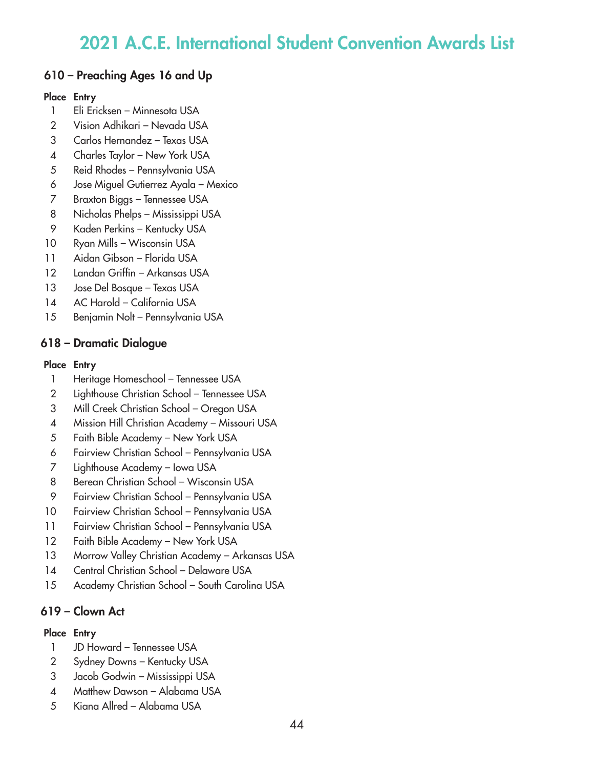## 610 – Preaching Ages 16 and Up

### Place Entry

- Eli Ericksen Minnesota USA
- Vision Adhikari Nevada USA
- Carlos Hernandez Texas USA
- Charles Taylor New York USA
- Reid Rhodes Pennsylvania USA
- Jose Miguel Gutierrez Ayala Mexico
- Braxton Biggs Tennessee USA
- Nicholas Phelps Mississippi USA
- Kaden Perkins Kentucky USA
- Ryan Mills Wisconsin USA
- Aidan Gibson Florida USA
- Landan Griffin Arkansas USA
- Jose Del Bosque Texas USA
- AC Harold California USA
- Benjamin Nolt Pennsylvania USA

## 618 – Dramatic Dialogue

### Place Entry

- 1 Heritage Homeschool Tennessee USA
- Lighthouse Christian School Tennessee USA
- Mill Creek Christian School Oregon USA
- Mission Hill Christian Academy Missouri USA
- Faith Bible Academy New York USA
- Fairview Christian School Pennsylvania USA
- Lighthouse Academy Iowa USA
- Berean Christian School Wisconsin USA
- Fairview Christian School Pennsylvania USA
- Fairview Christian School Pennsylvania USA
- Fairview Christian School Pennsylvania USA
- 12 Faith Bible Academy New York USA
- 13 Morrow Valley Christian Academy Arkansas USA
- Central Christian School Delaware USA
- 15 Academy Christian School South Carolina USA

# 619 – Clown Act

- JD Howard Tennessee USA
- Sydney Downs Kentucky USA
- Jacob Godwin Mississippi USA
- Matthew Dawson Alabama USA
- Kiana Allred Alabama USA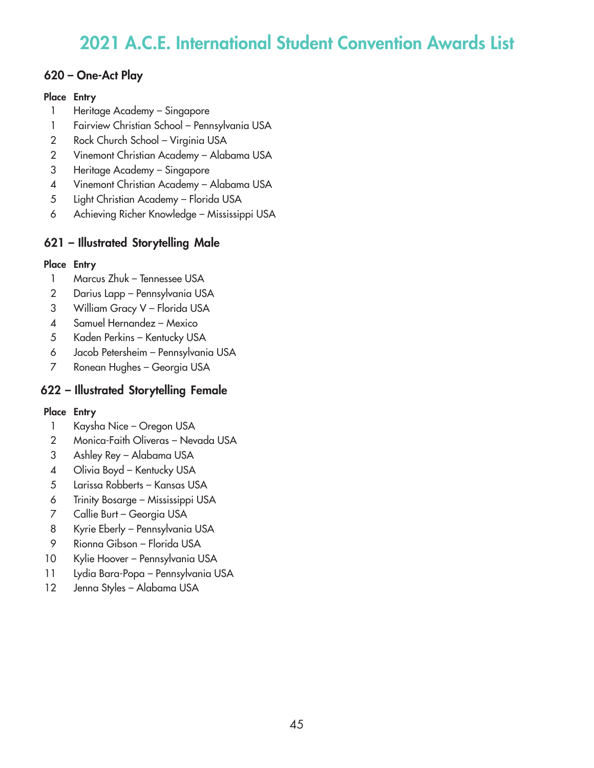## 620 – One-Act Play

### Place Entry

- Heritage Academy Singapore
- Fairview Christian School Pennsylvania USA
- Rock Church School Virginia USA
- Vinemont Christian Academy Alabama USA
- Heritage Academy Singapore
- Vinemont Christian Academy Alabama USA
- Light Christian Academy Florida USA
- Achieving Richer Knowledge Mississippi USA

# 621 – Illustrated Storytelling Male

### Place Entry

- Marcus Zhuk Tennessee USA
- Darius Lapp Pennsylvania USA
- William Gracy V Florida USA
- Samuel Hernandez Mexico
- Kaden Perkins Kentucky USA
- Jacob Petersheim Pennsylvania USA
- Ronean Hughes Georgia USA

# 622 – Illustrated Storytelling Female

- Kaysha Nice Oregon USA
- Monica-Faith Oliveras Nevada USA
- Ashley Rey Alabama USA
- Olivia Boyd Kentucky USA
- Larissa Robberts Kansas USA
- Trinity Bosarge Mississippi USA
- Callie Burt Georgia USA
- Kyrie Eberly Pennsylvania USA
- Rionna Gibson Florida USA
- Kylie Hoover Pennsylvania USA
- Lydia Bara-Popa Pennsylvania USA
- Jenna Styles Alabama USA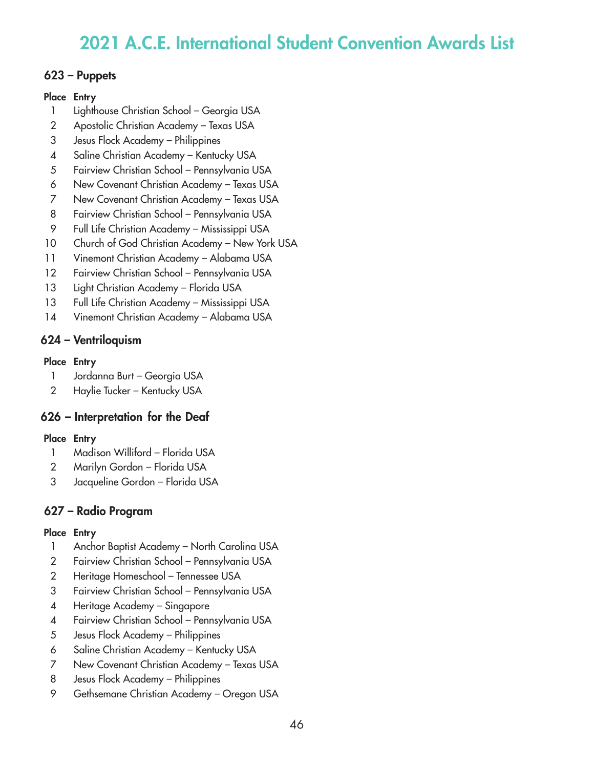### 623 – Puppets

### Place Entry

- Lighthouse Christian School Georgia USA
- Apostolic Christian Academy Texas USA
- Jesus Flock Academy Philippines
- Saline Christian Academy Kentucky USA
- Fairview Christian School Pennsylvania USA
- New Covenant Christian Academy Texas USA
- New Covenant Christian Academy Texas USA
- Fairview Christian School Pennsylvania USA
- Full Life Christian Academy Mississippi USA
- 10 Church of God Christian Academy New York USA
- Vinemont Christian Academy Alabama USA
- 12 Fairview Christian School Pennsylvania USA
- Light Christian Academy Florida USA
- Full Life Christian Academy Mississippi USA
- Vinemont Christian Academy Alabama USA

# 624 – Ventriloquism

## Place Entry

- 1 Jordanna Burt Georgia USA
- 2 Haylie Tucker Kentucky USA

# 626 – Interpretation for the Deaf

## Place Entry

- Madison Williford Florida USA
- Marilyn Gordon Florida USA
- Jacqueline Gordon Florida USA

# 627 – Radio Program

- Anchor Baptist Academy North Carolina USA
- Fairview Christian School Pennsylvania USA
- Heritage Homeschool Tennessee USA
- Fairview Christian School Pennsylvania USA
- Heritage Academy Singapore
- Fairview Christian School Pennsylvania USA
- Jesus Flock Academy Philippines
- Saline Christian Academy Kentucky USA
- New Covenant Christian Academy Texas USA
- Jesus Flock Academy Philippines
- Gethsemane Christian Academy Oregon USA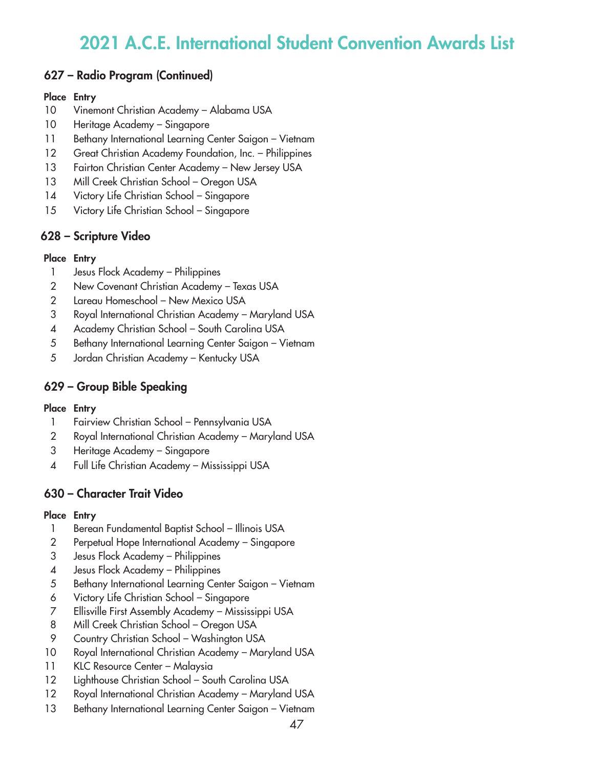## 627 – Radio Program (Continued)

#### Place Entry

- Vinemont Christian Academy Alabama USA
- Heritage Academy Singapore
- 11 Bethany International Learning Center Saigon Vietnam
- Great Christian Academy Foundation, Inc. Philippines
- 13 Fairton Christian Center Academy New Jersey USA
- 13 Mill Creek Christian School Oregon USA
- Victory Life Christian School Singapore
- Victory Life Christian School Singapore

## 628 – Scripture Video

#### Place Entry

- Jesus Flock Academy Philippines
- New Covenant Christian Academy Texas USA
- Lareau Homeschool New Mexico USA
- Royal International Christian Academy Maryland USA
- Academy Christian School South Carolina USA
- Bethany International Learning Center Saigon Vietnam
- Jordan Christian Academy Kentucky USA

## 629 – Group Bible Speaking

#### Place Entry

- Fairview Christian School Pennsylvania USA
- Royal International Christian Academy Maryland USA
- Heritage Academy Singapore
- Full Life Christian Academy Mississippi USA

## 630 – Character Trait Video

- Berean Fundamental Baptist School Illinois USA
- Perpetual Hope International Academy Singapore
- Jesus Flock Academy Philippines
- Jesus Flock Academy Philippines
- Bethany International Learning Center Saigon Vietnam
- Victory Life Christian School Singapore
- Ellisville First Assembly Academy Mississippi USA
- 8 Mill Creek Christian School Oregon USA
- Country Christian School Washington USA
- Royal International Christian Academy Maryland USA
- KLC Resource Center Malaysia
- Lighthouse Christian School South Carolina USA
- 12 Royal International Christian Academy Maryland USA
- 13 Bethany International Learning Center Saigon Vietnam